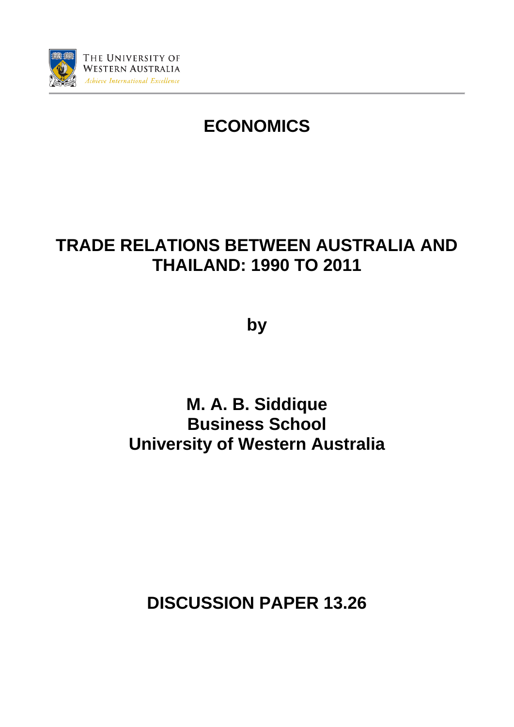

# **ECONOMICS**

# **TRADE RELATIONS BETWEEN AUSTRALIA AND THAILAND: 1990 TO 2011**

**by**

**M. A. B. Siddique Business School University of Western Australia**

**DISCUSSION PAPER 13.26**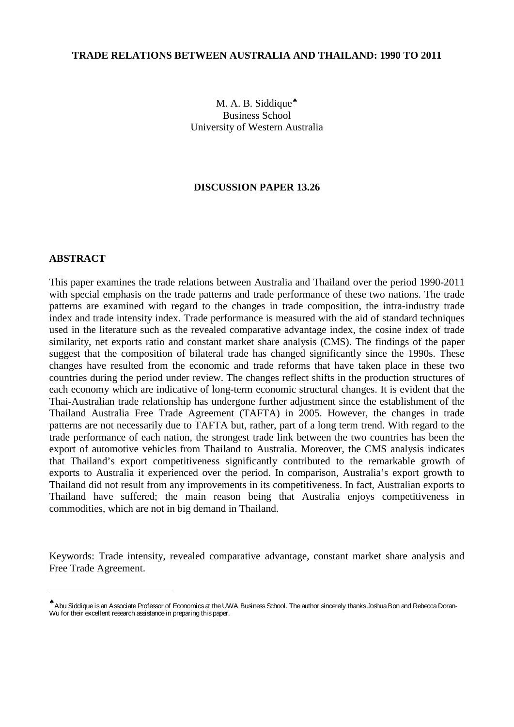#### **TRADE RELATIONS BETWEEN AUSTRALIA AND THAILAND: 1990 TO 2011**

M. A. B. Siddique<sup>◆</sup> Business School University of Western Australia

#### **DISCUSSION PAPER 13.26**

#### **ABSTRACT**

-

This paper examines the trade relations between Australia and Thailand over the period 1990-2011 with special emphasis on the trade patterns and trade performance of these two nations. The trade patterns are examined with regard to the changes in trade composition, the intra-industry trade index and trade intensity index. Trade performance is measured with the aid of standard techniques used in the literature such as the revealed comparative advantage index, the cosine index of trade similarity, net exports ratio and constant market share analysis (CMS). The findings of the paper suggest that the composition of bilateral trade has changed significantly since the 1990s. These changes have resulted from the economic and trade reforms that have taken place in these two countries during the period under review. The changes reflect shifts in the production structures of each economy which are indicative of long-term economic structural changes. It is evident that the Thai-Australian trade relationship has undergone further adjustment since the establishment of the Thailand Australia Free Trade Agreement (TAFTA) in 2005. However, the changes in trade patterns are not necessarily due to TAFTA but, rather, part of a long term trend. With regard to the trade performance of each nation, the strongest trade link between the two countries has been the export of automotive vehicles from Thailand to Australia. Moreover, the CMS analysis indicates that Thailand's export competitiveness significantly contributed to the remarkable growth of exports to Australia it experienced over the period. In comparison, Australia's export growth to Thailand did not result from any improvements in its competitiveness. In fact, Australian exports to Thailand have suffered; the main reason being that Australia enjoys competitiveness in commodities, which are not in big demand in Thailand.

Keywords: Trade intensity, revealed comparative advantage, constant market share analysis and Free Trade Agreement.

<span id="page-1-0"></span><sup>♠</sup>Abu Siddique is an Associate Professor of Economics at the UWA Business School. The author sincerely thanks Joshua Bon and Rebecca Doran-Wu for their excellent research assistance in preparing this paper.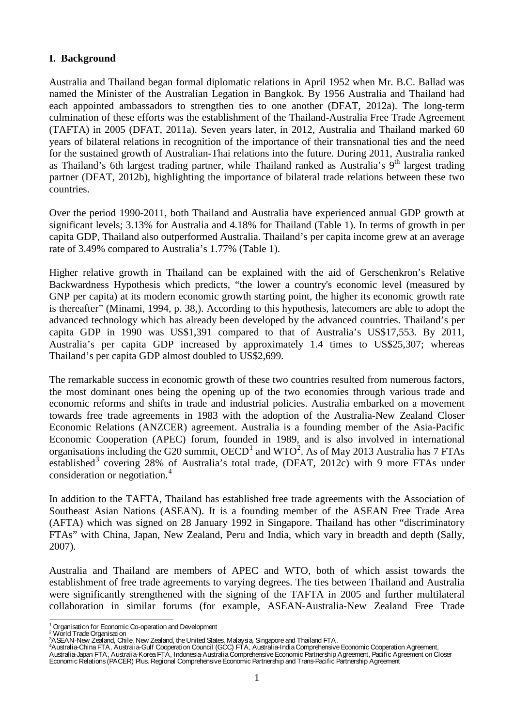#### **I. Background**

Australia and Thailand began formal diplomatic relations in April 1952 when Mr. B.C. Ballad was named the Minister of the Australian Legation in Bangkok. By 1956 Australia and Thailand had each appointed ambassadors to strengthen ties to one another (DFAT, 2012a). The long-term culmination of these efforts was the establishment of the Thailand-Australia Free Trade Agreement (TAFTA) in 2005 (DFAT, 2011a). Seven years later, in 2012, Australia and Thailand marked 60 years of bilateral relations in recognition of the importance of their transnational ties and the need for the sustained growth of Australian-Thai relations into the future. During 2011, Australia ranked as Thailand's 6th largest trading partner, while Thailand ranked as Australia's  $9<sup>th</sup>$  largest trading partner (DFAT, 2012b), highlighting the importance of bilateral trade relations between these two countries.

Over the period 1990-2011, both Thailand and Australia have experienced annual GDP growth at significant levels; 3.13% for Australia and 4.18% for Thailand (Table 1). In terms of growth in per capita GDP, Thailand also outperformed Australia. Thailand's per capita income grew at an average rate of 3.49% compared to Australia's 1.77% (Table 1).

Higher relative growth in Thailand can be explained with the aid of Gerschenkron's Relative Backwardness Hypothesis which predicts, "the lower a country's economic level (measured by GNP per capita) at its modern economic growth starting point, the higher its economic growth rate is thereafter" (Minami, 1994, p. 38,). According to this hypothesis, latecomers are able to adopt the advanced technology which has already been developed by the advanced countries. Thailand's per capita GDP in 1990 was US\$1,391 compared to that of Australia's US\$17,553. By 2011, Australia's per capita GDP increased by approximately 1.4 times to US\$25,307; whereas Thailand's per capita GDP almost doubled to US\$2,699.

The remarkable success in economic growth of these two countries resulted from numerous factors, the most dominant ones being the opening up of the two economies through various trade and economic reforms and shifts in trade and industrial policies. Australia embarked on a movement towards free trade agreements in 1983 with the adoption of the Australia-New Zealand Closer Economic Relations (ANZCER) agreement. Australia is a founding member of the Asia-Pacific Economic Cooperation (APEC) forum, founded in 1989, and is also involved in international organisations including the G[2](#page-2-1)0 summit,  $OECD<sup>1</sup>$  $OECD<sup>1</sup>$  $OECD<sup>1</sup>$  and WTO<sup>2</sup>. As of May 2013 Australia has 7 FTAs established<sup>[3](#page-2-2)</sup> covering 28% of Australia's total trade, (DFAT, 2012c) with 9 more FTAs under consideration or negotiation. [4](#page-2-3)

In addition to the TAFTA, Thailand has established free trade agreements with the Association of Southeast Asian Nations (ASEAN). It is a founding member of the ASEAN Free Trade Area (AFTA) which was signed on 28 January 1992 in Singapore. Thailand has other "discriminatory FTAs" with China, Japan, New Zealand, Peru and India, which vary in breadth and depth (Sally, 2007).

Australia and Thailand are members of APEC and WTO, both of which assist towards the establishment of free trade agreements to varying degrees. The ties between Thailand and Australia were significantly strengthened with the signing of the TAFTA in 2005 and further multilateral collaboration in similar forums (for example, ASEAN-Australia-New Zealand Free Trade

 $\frac{1}{2}$ 

<span id="page-2-2"></span><span id="page-2-1"></span><span id="page-2-0"></span>

<span id="page-2-3"></span>

<sup>&</sup>lt;sup>1</sup> Organisation for Economic Co-operation and Development<br><sup>2</sup> World Trade Organisation<br><sup>3</sup>ASEAN-New Zealand, Chile, New Zealand, the United States, Malaysia, Singapore and Thailand FTA.<br><sup>4</sup>Australia-China FTA, Australia-G Australia-Japan FTA, Australia-Korea FTA, Indonesia-Australia Comprehensive Economic Partnership Agreement, Pacific Agreement on Closer Economic Relations (PACER) Plus, Regional Comprehensive Economic Partnership and Trans-Pacific Partnership Agreement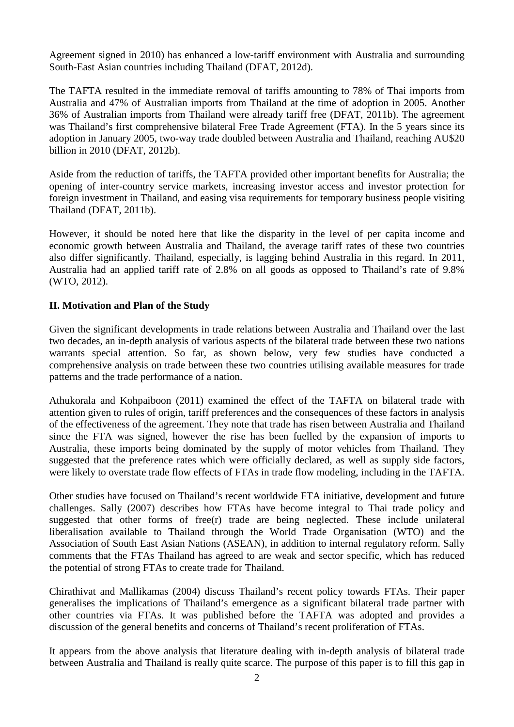Agreement signed in 2010) has enhanced a low-tariff environment with Australia and surrounding South-East Asian countries including Thailand (DFAT, 2012d).

The TAFTA resulted in the immediate removal of tariffs amounting to 78% of Thai imports from Australia and 47% of Australian imports from Thailand at the time of adoption in 2005. Another 36% of Australian imports from Thailand were already tariff free (DFAT, 2011b). The agreement was Thailand's first comprehensive bilateral Free Trade Agreement (FTA). In the 5 years since its adoption in January 2005, two-way trade doubled between Australia and Thailand, reaching AU\$20 billion in 2010 (DFAT, 2012b).

Aside from the reduction of tariffs, the TAFTA provided other important benefits for Australia; the opening of inter-country service markets, increasing investor access and investor protection for foreign investment in Thailand, and easing visa requirements for temporary business people visiting Thailand (DFAT, 2011b).

However, it should be noted here that like the disparity in the level of per capita income and economic growth between Australia and Thailand, the average tariff rates of these two countries also differ significantly. Thailand, especially, is lagging behind Australia in this regard. In 2011, Australia had an applied tariff rate of 2.8% on all goods as opposed to Thailand's rate of 9.8% (WTO, 2012).

# **II. Motivation and Plan of the Study**

Given the significant developments in trade relations between Australia and Thailand over the last two decades, an in-depth analysis of various aspects of the bilateral trade between these two nations warrants special attention. So far, as shown below, very few studies have conducted a comprehensive analysis on trade between these two countries utilising available measures for trade patterns and the trade performance of a nation.

Athukorala and Kohpaiboon (2011) examined the effect of the TAFTA on bilateral trade with attention given to rules of origin, tariff preferences and the consequences of these factors in analysis of the effectiveness of the agreement. They note that trade has risen between Australia and Thailand since the FTA was signed, however the rise has been fuelled by the expansion of imports to Australia, these imports being dominated by the supply of motor vehicles from Thailand. They suggested that the preference rates which were officially declared, as well as supply side factors, were likely to overstate trade flow effects of FTAs in trade flow modeling, including in the TAFTA.

Other studies have focused on Thailand's recent worldwide FTA initiative, development and future challenges. Sally (2007) describes how FTAs have become integral to Thai trade policy and suggested that other forms of free(r) trade are being neglected. These include unilateral liberalisation available to Thailand through the World Trade Organisation (WTO) and the Association of South East Asian Nations (ASEAN), in addition to internal regulatory reform. Sally comments that the FTAs Thailand has agreed to are weak and sector specific, which has reduced the potential of strong FTAs to create trade for Thailand.

Chirathivat and Mallikamas (2004) discuss Thailand's recent policy towards FTAs. Their paper generalises the implications of Thailand's emergence as a significant bilateral trade partner with other countries via FTAs. It was published before the TAFTA was adopted and provides a discussion of the general benefits and concerns of Thailand's recent proliferation of FTAs.

It appears from the above analysis that literature dealing with in-depth analysis of bilateral trade between Australia and Thailand is really quite scarce. The purpose of this paper is to fill this gap in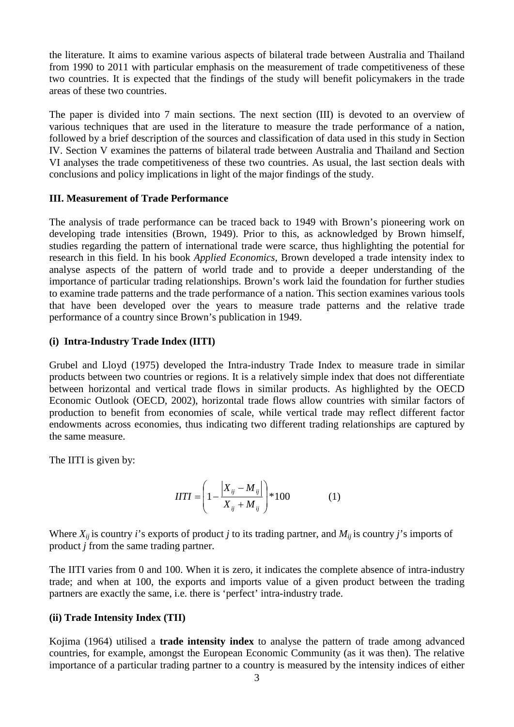the literature. It aims to examine various aspects of bilateral trade between Australia and Thailand from 1990 to 2011 with particular emphasis on the measurement of trade competitiveness of these two countries. It is expected that the findings of the study will benefit policymakers in the trade areas of these two countries.

The paper is divided into 7 main sections. The next section (III) is devoted to an overview of various techniques that are used in the literature to measure the trade performance of a nation, followed by a brief description of the sources and classification of data used in this study in Section IV. Section V examines the patterns of bilateral trade between Australia and Thailand and Section VI analyses the trade competitiveness of these two countries. As usual, the last section deals with conclusions and policy implications in light of the major findings of the study.

#### **III. Measurement of Trade Performance**

The analysis of trade performance can be traced back to 1949 with Brown's pioneering work on developing trade intensities (Brown, 1949). Prior to this, as acknowledged by Brown himself, studies regarding the pattern of international trade were scarce, thus highlighting the potential for research in this field. In his book *Applied Economics,* Brown developed a trade intensity index to analyse aspects of the pattern of world trade and to provide a deeper understanding of the importance of particular trading relationships. Brown's work laid the foundation for further studies to examine trade patterns and the trade performance of a nation. This section examines various tools that have been developed over the years to measure trade patterns and the relative trade performance of a country since Brown's publication in 1949.

# **(i) Intra-Industry Trade Index (IITI)**

Grubel and Lloyd (1975) developed the Intra-industry Trade Index to measure trade in similar products between two countries or regions. It is a relatively simple index that does not differentiate between horizontal and vertical trade flows in similar products. As highlighted by the OECD Economic Outlook (OECD, 2002), horizontal trade flows allow countries with similar factors of production to benefit from economies of scale, while vertical trade may reflect different factor endowments across economies, thus indicating two different trading relationships are captured by the same measure.

The IITI is given by:

$$
HTI = \left(1 - \frac{|X_{ij} - M_{ij}|}{X_{ij} + M_{ij}}\right) * 100
$$
 (1)

Where  $X_{ii}$  is country *i*'s exports of product *j* to its trading partner, and  $M_{ii}$  is country *j*'s imports of product *j* from the same trading partner.

The IITI varies from 0 and 100. When it is zero, it indicates the complete absence of intra-industry trade; and when at 100, the exports and imports value of a given product between the trading partners are exactly the same, i.e. there is 'perfect' intra-industry trade.

# **(ii) Trade Intensity Index (TII)**

Kojima (1964) utilised a **trade intensity index** to analyse the pattern of trade among advanced countries, for example, amongst the European Economic Community (as it was then). The relative importance of a particular trading partner to a country is measured by the intensity indices of either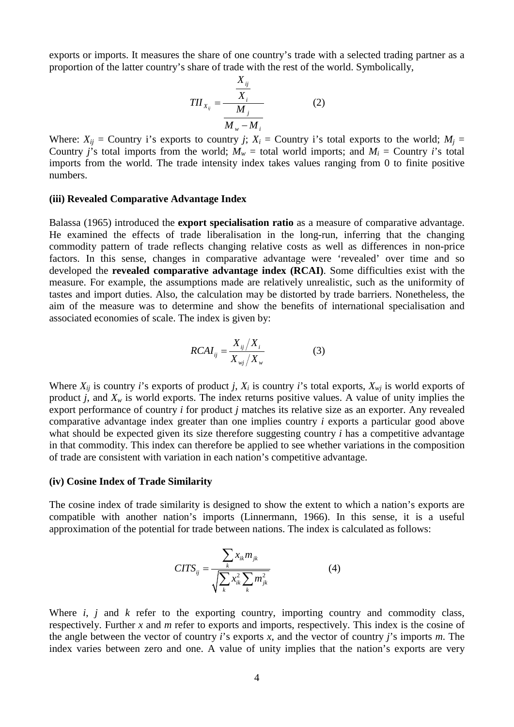exports or imports. It measures the share of one country's trade with a selected trading partner as a proportion of the latter country's share of trade with the rest of the world. Symbolically,

$$
TII_{X_{ij}} = \frac{\frac{X_{ij}}{X_i}}{\frac{M_j}{M_w - M_i}}
$$
 (2)

Where:  $X_{ij}$  = Country i's exports to country *j*;  $X_i$  = Country i's total exports to the world;  $M_i$  = Country *j*'s total imports from the world;  $M_w$  = total world imports; and  $M_i$  = Country *i*'s total imports from the world. The trade intensity index takes values ranging from 0 to finite positive numbers.

#### **(iii) Revealed Comparative Advantage Index**

Balassa (1965) introduced the **export specialisation ratio** as a measure of comparative advantage. He examined the effects of trade liberalisation in the long-run, inferring that the changing commodity pattern of trade reflects changing relative costs as well as differences in non-price factors. In this sense, changes in comparative advantage were 'revealed' over time and so developed the **revealed comparative advantage index (RCAI)**. Some difficulties exist with the measure. For example, the assumptions made are relatively unrealistic, such as the uniformity of tastes and import duties. Also, the calculation may be distorted by trade barriers. Nonetheless, the aim of the measure was to determine and show the benefits of international specialisation and associated economies of scale. The index is given by:

$$
RCAI_{ij} = \frac{X_{ij}/X_i}{X_{ij}/X_{w}}
$$
 (3)

Where  $X_{ii}$  is country *i*'s exports of product *j*,  $X_i$  is country *i*'s total exports,  $X_{wi}$  is world exports of product *j*, and  $X_w$  is world exports. The index returns positive values. A value of unity implies the export performance of country *i* for product *j* matches its relative size as an exporter. Any revealed comparative advantage index greater than one implies country *i* exports a particular good above what should be expected given its size therefore suggesting country *i* has a competitive advantage in that commodity. This index can therefore be applied to see whether variations in the composition of trade are consistent with variation in each nation's competitive advantage.

#### **(iv) Cosine Index of Trade Similarity**

The cosine index of trade similarity is designed to show the extent to which a nation's exports are compatible with another nation's imports (Linnermann, 1966). In this sense, it is a useful approximation of the potential for trade between nations. The index is calculated as follows:

$$
CITS_{ij} = \frac{\sum_{k} x_{ik} m_{jk}}{\sqrt{\sum_{k} x_{ik}^2 \sum_{k} m_{jk}^2}}
$$
(4)

Where *i*, *j* and *k* refer to the exporting country, importing country and commodity class, respectively. Further *x* and *m* refer to exports and imports, respectively. This index is the cosine of the angle between the vector of country *i*'s exports *x*, and the vector of country *j*'s imports *m*. The index varies between zero and one. A value of unity implies that the nation's exports are very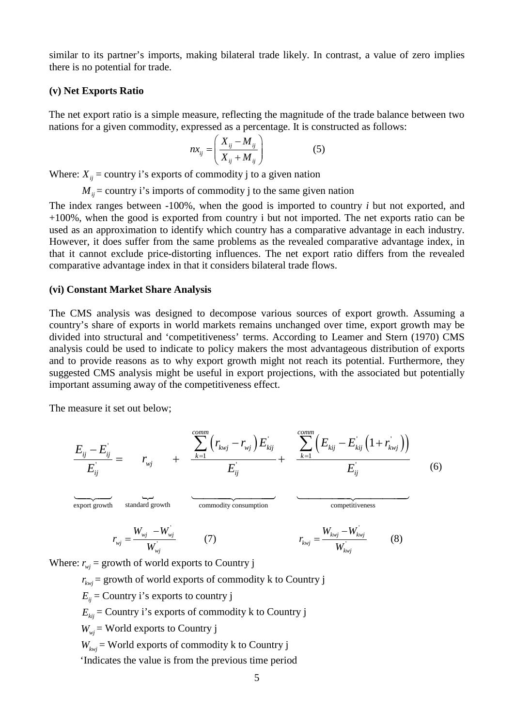similar to its partner's imports, making bilateral trade likely. In contrast, a value of zero implies there is no potential for trade.

#### **(v) Net Exports Ratio**

The net export ratio is a simple measure, reflecting the magnitude of the trade balance between two nations for a given commodity, expressed as a percentage. It is constructed as follows:

$$
nx_{ij} = \left(\frac{X_{ij} - M_{ij}}{X_{ij} + M_{ij}}\right) \tag{5}
$$

Where:  $X_{ii}$  = country i's exports of commodity j to a given nation

 $M_{ii}$  = country i's imports of commodity j to the same given nation

The index ranges between -100%, when the good is imported to country *i* but not exported, and +100%, when the good is exported from country i but not imported. The net exports ratio can be used as an approximation to identify which country has a comparative advantage in each industry. However, it does suffer from the same problems as the revealed comparative advantage index, in that it cannot exclude price-distorting influences. The net export ratio differs from the revealed comparative advantage index in that it considers bilateral trade flows.

#### **(vi) Constant Market Share Analysis**

The CMS analysis was designed to decompose various sources of export growth. Assuming a country's share of exports in world markets remains unchanged over time, export growth may be divided into structural and 'competitiveness' terms. According to Leamer and Stern (1970) CMS analysis could be used to indicate to policy makers the most advantageous distribution of exports and to provide reasons as to why export growth might not reach its potential. Furthermore, they suggested CMS analysis might be useful in export projections, with the associated but potentially important assuming away of the competitiveness effect.

The measure it set out below;

$$
\frac{E_{ij} - E_{ij}^{'}}{E_{ij}^{'} = r_{ij} + \frac{\sum_{k=1}^{comm} (r_{kvj} - r_{vj}) E_{kij}^{'}}{E_{ij}^{'} + \frac{\sum_{k=1}^{comm} (E_{kij} - E_{kij}^{'} (1 + r_{kvj}^{'}))}{E_{ij}^{'}}
$$
(6)

standard growth export growth standard growth commodity consumption competitiveness المستنب المستنب المستنب المستنب المسابق المستنب المستنب المستنب المستنب المستنب المستنب المستنب المستنب المستن<br>المستنب المستنب المستنب المستنب المستنب المستنب المستنب المستنب المستنب المستنب المستنب المستنب المستنب المستن

$$
r_{wj} = \frac{W_{wj} - W_{wj}}{W_{wj}^{'}}
$$
 (7) 
$$
r_{k wj} = \frac{W_{k wj} - W_{k wj}}{W_{k wj}^{'}}
$$
 (8)

Where:  $r_{wj}$  = growth of world exports to Country j

 $r_{kwi}$  = growth of world exports of commodity k to Country j

 $E_{ii}$  = Country i's exports to country j

 $E_{\text{tri}}$  = Country i's exports of commodity k to Country j

 $W_{wi}$  = World exports to Country j

 $W_{kwi}$  = World exports of commodity k to Country j

'Indicates the value is from the previous time period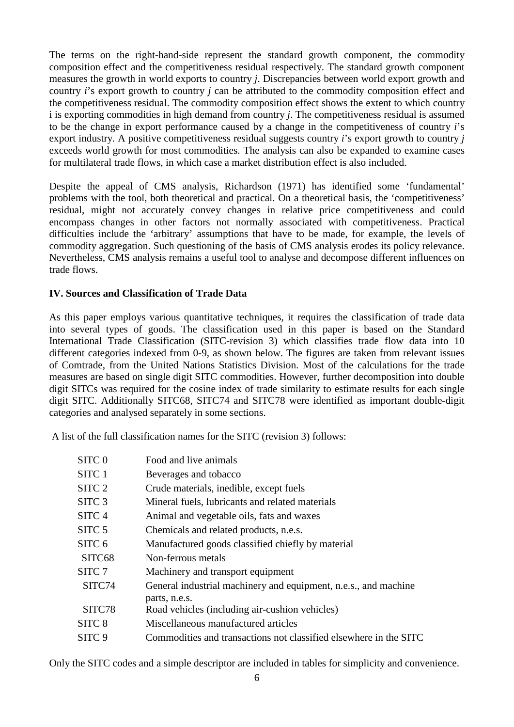The terms on the right-hand-side represent the standard growth component, the commodity composition effect and the competitiveness residual respectively. The standard growth component measures the growth in world exports to country *j*. Discrepancies between world export growth and country *i*'s export growth to country *j* can be attributed to the commodity composition effect and the competitiveness residual. The commodity composition effect shows the extent to which country i is exporting commodities in high demand from country *j*. The competitiveness residual is assumed to be the change in export performance caused by a change in the competitiveness of country *i*'s export industry. A positive competitiveness residual suggests country *i*'s export growth to country *j* exceeds world growth for most commodities. The analysis can also be expanded to examine cases for multilateral trade flows, in which case a market distribution effect is also included.

Despite the appeal of CMS analysis, Richardson (1971) has identified some 'fundamental' problems with the tool, both theoretical and practical. On a theoretical basis, the 'competitiveness' residual, might not accurately convey changes in relative price competitiveness and could encompass changes in other factors not normally associated with competitiveness. Practical difficulties include the 'arbitrary' assumptions that have to be made, for example, the levels of commodity aggregation. Such questioning of the basis of CMS analysis erodes its policy relevance. Nevertheless, CMS analysis remains a useful tool to analyse and decompose different influences on trade flows.

# **IV. Sources and Classification of Trade Data**

As this paper employs various quantitative techniques, it requires the classification of trade data into several types of goods. The classification used in this paper is based on the Standard International Trade Classification (SITC-revision 3) which classifies trade flow data into 10 different categories indexed from 0-9, as shown below. The figures are taken from relevant issues of Comtrade, from the United Nations Statistics Division. Most of the calculations for the trade measures are based on single digit SITC commodities. However, further decomposition into double digit SITCs was required for the cosine index of trade similarity to estimate results for each single digit SITC. Additionally SITC68, SITC74 and SITC78 were identified as important double-digit categories and analysed separately in some sections.

A list of the full classification names for the SITC (revision 3) follows:

| SITC <sub>0</sub> | Food and live animals                                             |
|-------------------|-------------------------------------------------------------------|
| SITC 1            | Beverages and tobacco                                             |
| SITC <sub>2</sub> | Crude materials, inedible, except fuels                           |
| SITC <sub>3</sub> | Mineral fuels, lubricants and related materials                   |
| SITC <sub>4</sub> | Animal and vegetable oils, fats and waxes                         |
| SITC <sub>5</sub> | Chemicals and related products, n.e.s.                            |
| SITC <sub>6</sub> | Manufactured goods classified chiefly by material                 |
| SITC68            | Non-ferrous metals                                                |
| SITC <sub>7</sub> | Machinery and transport equipment                                 |
| SITC74            | General industrial machinery and equipment, n.e.s., and machine   |
|                   | parts, n.e.s.                                                     |
| SITC78            | Road vehicles (including air-cushion vehicles)                    |
| SITC <sub>8</sub> | Miscellaneous manufactured articles                               |
| SITC 9            | Commodities and transactions not classified elsewhere in the SITC |

Only the SITC codes and a simple descriptor are included in tables for simplicity and convenience.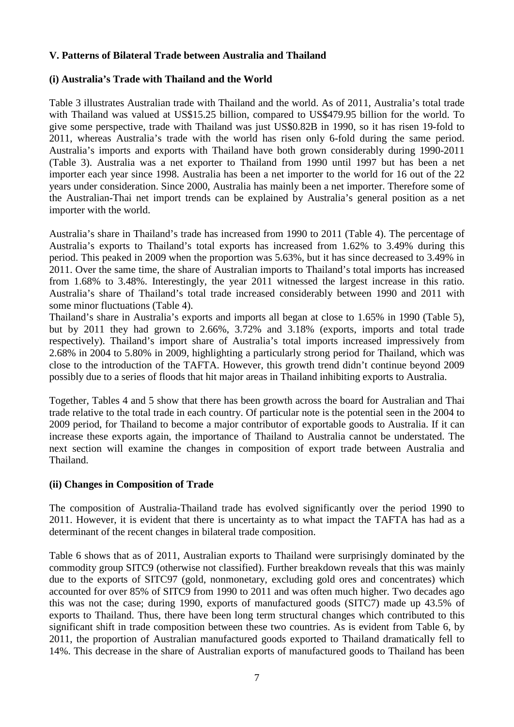#### **V. Patterns of Bilateral Trade between Australia and Thailand**

#### **(i) Australia's Trade with Thailand and the World**

Table 3 illustrates Australian trade with Thailand and the world. As of 2011, Australia's total trade with Thailand was valued at US\$15.25 billion, compared to US\$479.95 billion for the world. To give some perspective, trade with Thailand was just US\$0.82B in 1990, so it has risen 19-fold to 2011, whereas Australia's trade with the world has risen only 6-fold during the same period. Australia's imports and exports with Thailand have both grown considerably during 1990-2011 (Table 3). Australia was a net exporter to Thailand from 1990 until 1997 but has been a net importer each year since 1998. Australia has been a net importer to the world for 16 out of the 22 years under consideration. Since 2000, Australia has mainly been a net importer. Therefore some of the Australian-Thai net import trends can be explained by Australia's general position as a net importer with the world.

Australia's share in Thailand's trade has increased from 1990 to 2011 (Table 4). The percentage of Australia's exports to Thailand's total exports has increased from 1.62% to 3.49% during this period. This peaked in 2009 when the proportion was 5.63%, but it has since decreased to 3.49% in 2011. Over the same time, the share of Australian imports to Thailand's total imports has increased from 1.68% to 3.48%. Interestingly, the year 2011 witnessed the largest increase in this ratio. Australia's share of Thailand's total trade increased considerably between 1990 and 2011 with some minor fluctuations (Table 4).

Thailand's share in Australia's exports and imports all began at close to 1.65% in 1990 (Table 5), but by 2011 they had grown to 2.66%, 3.72% and 3.18% (exports, imports and total trade respectively). Thailand's import share of Australia's total imports increased impressively from 2.68% in 2004 to 5.80% in 2009, highlighting a particularly strong period for Thailand, which was close to the introduction of the TAFTA. However, this growth trend didn't continue beyond 2009 possibly due to a series of floods that hit major areas in Thailand inhibiting exports to Australia.

Together, Tables 4 and 5 show that there has been growth across the board for Australian and Thai trade relative to the total trade in each country. Of particular note is the potential seen in the 2004 to 2009 period, for Thailand to become a major contributor of exportable goods to Australia. If it can increase these exports again, the importance of Thailand to Australia cannot be understated. The next section will examine the changes in composition of export trade between Australia and Thailand.

#### **(ii) Changes in Composition of Trade**

The composition of Australia-Thailand trade has evolved significantly over the period 1990 to 2011. However, it is evident that there is uncertainty as to what impact the TAFTA has had as a determinant of the recent changes in bilateral trade composition.

Table 6 shows that as of 2011, Australian exports to Thailand were surprisingly dominated by the commodity group SITC9 (otherwise not classified). Further breakdown reveals that this was mainly due to the exports of SITC97 (gold, nonmonetary, excluding gold ores and concentrates) which accounted for over 85% of SITC9 from 1990 to 2011 and was often much higher. Two decades ago this was not the case; during 1990, exports of manufactured goods (SITC7) made up 43.5% of exports to Thailand. Thus, there have been long term structural changes which contributed to this significant shift in trade composition between these two countries. As is evident from Table 6, by 2011, the proportion of Australian manufactured goods exported to Thailand dramatically fell to 14%. This decrease in the share of Australian exports of manufactured goods to Thailand has been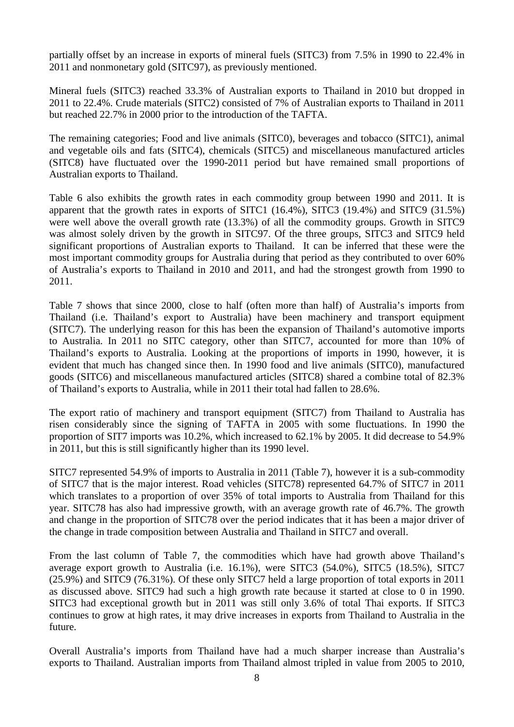partially offset by an increase in exports of mineral fuels (SITC3) from 7.5% in 1990 to 22.4% in 2011 and nonmonetary gold (SITC97), as previously mentioned.

Mineral fuels (SITC3) reached 33.3% of Australian exports to Thailand in 2010 but dropped in 2011 to 22.4%. Crude materials (SITC2) consisted of 7% of Australian exports to Thailand in 2011 but reached 22.7% in 2000 prior to the introduction of the TAFTA.

The remaining categories; Food and live animals (SITC0), beverages and tobacco (SITC1), animal and vegetable oils and fats (SITC4), chemicals (SITC5) and miscellaneous manufactured articles (SITC8) have fluctuated over the 1990-2011 period but have remained small proportions of Australian exports to Thailand.

Table 6 also exhibits the growth rates in each commodity group between 1990 and 2011. It is apparent that the growth rates in exports of SITC1 (16.4%), SITC3 (19.4%) and SITC9 (31.5%) were well above the overall growth rate (13.3%) of all the commodity groups. Growth in SITC9 was almost solely driven by the growth in SITC97. Of the three groups, SITC3 and SITC9 held significant proportions of Australian exports to Thailand. It can be inferred that these were the most important commodity groups for Australia during that period as they contributed to over 60% of Australia's exports to Thailand in 2010 and 2011, and had the strongest growth from 1990 to 2011.

Table 7 shows that since 2000, close to half (often more than half) of Australia's imports from Thailand (i.e. Thailand's export to Australia) have been machinery and transport equipment (SITC7). The underlying reason for this has been the expansion of Thailand's automotive imports to Australia. In 2011 no SITC category, other than SITC7, accounted for more than 10% of Thailand's exports to Australia. Looking at the proportions of imports in 1990, however, it is evident that much has changed since then. In 1990 food and live animals (SITC0), manufactured goods (SITC6) and miscellaneous manufactured articles (SITC8) shared a combine total of 82.3% of Thailand's exports to Australia, while in 2011 their total had fallen to 28.6%.

The export ratio of machinery and transport equipment (SITC7) from Thailand to Australia has risen considerably since the signing of TAFTA in 2005 with some fluctuations. In 1990 the proportion of SIT7 imports was 10.2%, which increased to 62.1% by 2005. It did decrease to 54.9% in 2011, but this is still significantly higher than its 1990 level.

SITC7 represented 54.9% of imports to Australia in 2011 (Table 7), however it is a sub-commodity of SITC7 that is the major interest. Road vehicles (SITC78) represented 64.7% of SITC7 in 2011 which translates to a proportion of over 35% of total imports to Australia from Thailand for this year. SITC78 has also had impressive growth, with an average growth rate of 46.7%. The growth and change in the proportion of SITC78 over the period indicates that it has been a major driver of the change in trade composition between Australia and Thailand in SITC7 and overall.

From the last column of Table 7, the commodities which have had growth above Thailand's average export growth to Australia (i.e. 16.1%), were SITC3 (54.0%), SITC5 (18.5%), SITC7 (25.9%) and SITC9 (76.31%). Of these only SITC7 held a large proportion of total exports in 2011 as discussed above. SITC9 had such a high growth rate because it started at close to 0 in 1990. SITC3 had exceptional growth but in 2011 was still only 3.6% of total Thai exports. If SITC3 continues to grow at high rates, it may drive increases in exports from Thailand to Australia in the future.

Overall Australia's imports from Thailand have had a much sharper increase than Australia's exports to Thailand. Australian imports from Thailand almost tripled in value from 2005 to 2010,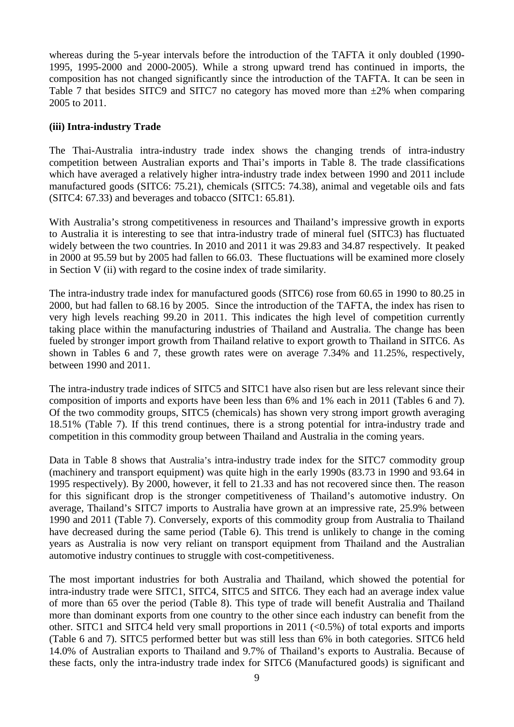whereas during the 5-year intervals before the introduction of the TAFTA it only doubled (1990- 1995, 1995-2000 and 2000-2005). While a strong upward trend has continued in imports, the composition has not changed significantly since the introduction of the TAFTA. It can be seen in Table 7 that besides SITC9 and SITC7 no category has moved more than  $\pm 2\%$  when comparing 2005 to 2011.

#### **(iii) Intra-industry Trade**

The Thai-Australia intra-industry trade index shows the changing trends of intra-industry competition between Australian exports and Thai's imports in Table 8. The trade classifications which have averaged a relatively higher intra-industry trade index between 1990 and 2011 include manufactured goods (SITC6: 75.21), chemicals (SITC5: 74.38), animal and vegetable oils and fats (SITC4: 67.33) and beverages and tobacco (SITC1: 65.81).

With Australia's strong competitiveness in resources and Thailand's impressive growth in exports to Australia it is interesting to see that intra-industry trade of mineral fuel (SITC3) has fluctuated widely between the two countries. In 2010 and 2011 it was 29.83 and 34.87 respectively. It peaked in 2000 at 95.59 but by 2005 had fallen to 66.03. These fluctuations will be examined more closely in Section V (ii) with regard to the cosine index of trade similarity.

The intra-industry trade index for manufactured goods (SITC6) rose from 60.65 in 1990 to 80.25 in 2000, but had fallen to 68.16 by 2005. Since the introduction of the TAFTA, the index has risen to very high levels reaching 99.20 in 2011. This indicates the high level of competition currently taking place within the manufacturing industries of Thailand and Australia. The change has been fueled by stronger import growth from Thailand relative to export growth to Thailand in SITC6. As shown in Tables 6 and 7, these growth rates were on average 7.34% and 11.25%, respectively, between 1990 and 2011.

The intra-industry trade indices of SITC5 and SITC1 have also risen but are less relevant since their composition of imports and exports have been less than 6% and 1% each in 2011 (Tables 6 and 7). Of the two commodity groups, SITC5 (chemicals) has shown very strong import growth averaging 18.51% (Table 7). If this trend continues, there is a strong potential for intra-industry trade and competition in this commodity group between Thailand and Australia in the coming years.

Data in Table 8 shows that Australia's intra-industry trade index for the SITC7 commodity group (machinery and transport equipment) was quite high in the early 1990s (83.73 in 1990 and 93.64 in 1995 respectively). By 2000, however, it fell to 21.33 and has not recovered since then. The reason for this significant drop is the stronger competitiveness of Thailand's automotive industry. On average, Thailand's SITC7 imports to Australia have grown at an impressive rate, 25.9% between 1990 and 2011 (Table 7). Conversely, exports of this commodity group from Australia to Thailand have decreased during the same period (Table 6). This trend is unlikely to change in the coming years as Australia is now very reliant on transport equipment from Thailand and the Australian automotive industry continues to struggle with cost-competitiveness.

The most important industries for both Australia and Thailand, which showed the potential for intra-industry trade were SITC1, SITC4, SITC5 and SITC6. They each had an average index value of more than 65 over the period (Table 8). This type of trade will benefit Australia and Thailand more than dominant exports from one country to the other since each industry can benefit from the other. SITC1 and SITC4 held very small proportions in 2011 (<0.5%) of total exports and imports (Table 6 and 7). SITC5 performed better but was still less than 6% in both categories. SITC6 held 14.0% of Australian exports to Thailand and 9.7% of Thailand's exports to Australia. Because of these facts, only the intra-industry trade index for SITC6 (Manufactured goods) is significant and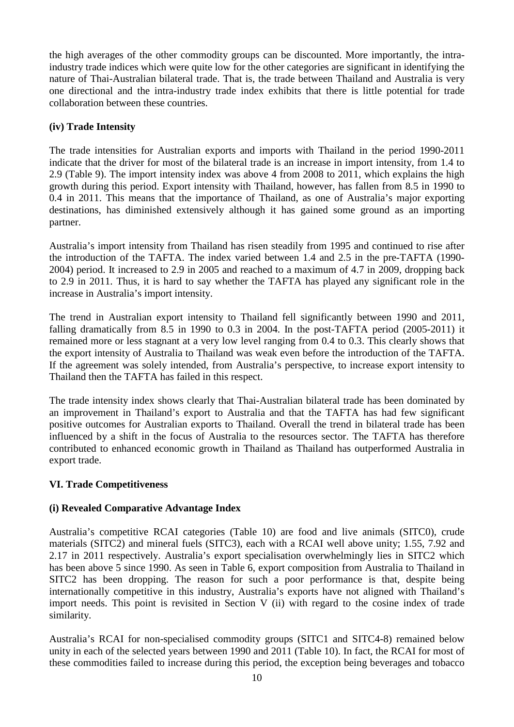the high averages of the other commodity groups can be discounted. More importantly, the intraindustry trade indices which were quite low for the other categories are significant in identifying the nature of Thai-Australian bilateral trade. That is, the trade between Thailand and Australia is very one directional and the intra-industry trade index exhibits that there is little potential for trade collaboration between these countries.

# **(iv) Trade Intensity**

The trade intensities for Australian exports and imports with Thailand in the period 1990-2011 indicate that the driver for most of the bilateral trade is an increase in import intensity, from 1.4 to 2.9 (Table 9). The import intensity index was above 4 from 2008 to 2011, which explains the high growth during this period. Export intensity with Thailand, however, has fallen from 8.5 in 1990 to 0.4 in 2011. This means that the importance of Thailand, as one of Australia's major exporting destinations, has diminished extensively although it has gained some ground as an importing partner.

Australia's import intensity from Thailand has risen steadily from 1995 and continued to rise after the introduction of the TAFTA. The index varied between 1.4 and 2.5 in the pre-TAFTA (1990- 2004) period. It increased to 2.9 in 2005 and reached to a maximum of 4.7 in 2009, dropping back to 2.9 in 2011. Thus, it is hard to say whether the TAFTA has played any significant role in the increase in Australia's import intensity.

The trend in Australian export intensity to Thailand fell significantly between 1990 and 2011, falling dramatically from 8.5 in 1990 to 0.3 in 2004. In the post-TAFTA period (2005-2011) it remained more or less stagnant at a very low level ranging from 0.4 to 0.3. This clearly shows that the export intensity of Australia to Thailand was weak even before the introduction of the TAFTA. If the agreement was solely intended, from Australia's perspective, to increase export intensity to Thailand then the TAFTA has failed in this respect.

The trade intensity index shows clearly that Thai-Australian bilateral trade has been dominated by an improvement in Thailand's export to Australia and that the TAFTA has had few significant positive outcomes for Australian exports to Thailand. Overall the trend in bilateral trade has been influenced by a shift in the focus of Australia to the resources sector. The TAFTA has therefore contributed to enhanced economic growth in Thailand as Thailand has outperformed Australia in export trade.

# **VI. Trade Competitiveness**

#### **(i) Revealed Comparative Advantage Index**

Australia's competitive RCAI categories (Table 10) are food and live animals (SITC0), crude materials (SITC2) and mineral fuels (SITC3), each with a RCAI well above unity; 1.55, 7.92 and 2.17 in 2011 respectively. Australia's export specialisation overwhelmingly lies in SITC2 which has been above 5 since 1990. As seen in Table 6, export composition from Australia to Thailand in SITC2 has been dropping. The reason for such a poor performance is that, despite being internationally competitive in this industry, Australia's exports have not aligned with Thailand's import needs. This point is revisited in Section V (ii) with regard to the cosine index of trade similarity.

Australia's RCAI for non-specialised commodity groups (SITC1 and SITC4-8) remained below unity in each of the selected years between 1990 and 2011 (Table 10). In fact, the RCAI for most of these commodities failed to increase during this period, the exception being beverages and tobacco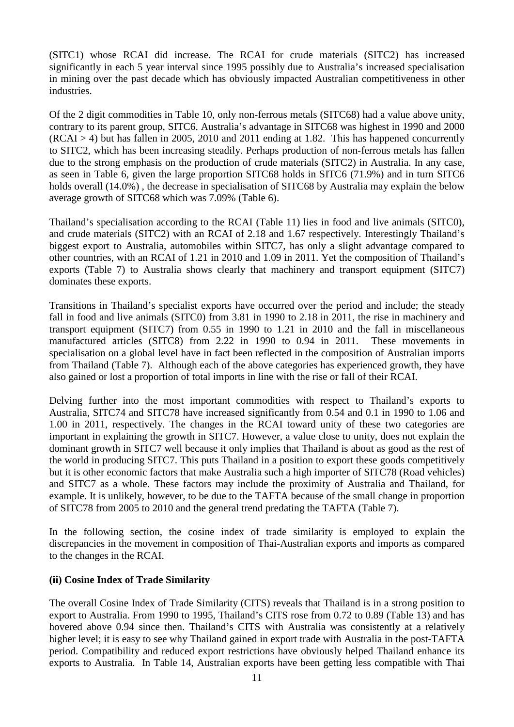(SITC1) whose RCAI did increase. The RCAI for crude materials (SITC2) has increased significantly in each 5 year interval since 1995 possibly due to Australia's increased specialisation in mining over the past decade which has obviously impacted Australian competitiveness in other industries.

Of the 2 digit commodities in Table 10, only non-ferrous metals (SITC68) had a value above unity, contrary to its parent group, SITC6. Australia's advantage in SITC68 was highest in 1990 and 2000  $(RCAI > 4)$  but has fallen in 2005, 2010 and 2011 ending at 1.82. This has happened concurrently to SITC2, which has been increasing steadily. Perhaps production of non-ferrous metals has fallen due to the strong emphasis on the production of crude materials (SITC2) in Australia. In any case, as seen in Table 6, given the large proportion SITC68 holds in SITC6 (71.9%) and in turn SITC6 holds overall (14.0%) , the decrease in specialisation of SITC68 by Australia may explain the below average growth of SITC68 which was 7.09% (Table 6).

Thailand's specialisation according to the RCAI (Table 11) lies in food and live animals (SITC0), and crude materials (SITC2) with an RCAI of 2.18 and 1.67 respectively. Interestingly Thailand's biggest export to Australia, automobiles within SITC7, has only a slight advantage compared to other countries, with an RCAI of 1.21 in 2010 and 1.09 in 2011. Yet the composition of Thailand's exports (Table 7) to Australia shows clearly that machinery and transport equipment (SITC7) dominates these exports.

Transitions in Thailand's specialist exports have occurred over the period and include; the steady fall in food and live animals (SITC0) from 3.81 in 1990 to 2.18 in 2011, the rise in machinery and transport equipment (SITC7) from 0.55 in 1990 to 1.21 in 2010 and the fall in miscellaneous manufactured articles (SITC8) from 2.22 in 1990 to 0.94 in 2011. These movements in specialisation on a global level have in fact been reflected in the composition of Australian imports from Thailand (Table 7). Although each of the above categories has experienced growth, they have also gained or lost a proportion of total imports in line with the rise or fall of their RCAI.

Delving further into the most important commodities with respect to Thailand's exports to Australia, SITC74 and SITC78 have increased significantly from 0.54 and 0.1 in 1990 to 1.06 and 1.00 in 2011, respectively. The changes in the RCAI toward unity of these two categories are important in explaining the growth in SITC7. However, a value close to unity, does not explain the dominant growth in SITC7 well because it only implies that Thailand is about as good as the rest of the world in producing SITC7. This puts Thailand in a position to export these goods competitively but it is other economic factors that make Australia such a high importer of SITC78 (Road vehicles) and SITC7 as a whole. These factors may include the proximity of Australia and Thailand, for example. It is unlikely, however, to be due to the TAFTA because of the small change in proportion of SITC78 from 2005 to 2010 and the general trend predating the TAFTA (Table 7).

In the following section, the cosine index of trade similarity is employed to explain the discrepancies in the movement in composition of Thai-Australian exports and imports as compared to the changes in the RCAI.

# **(ii) Cosine Index of Trade Similarity**

The overall Cosine Index of Trade Similarity (CITS) reveals that Thailand is in a strong position to export to Australia. From 1990 to 1995, Thailand's CITS rose from 0.72 to 0.89 (Table 13) and has hovered above 0.94 since then. Thailand's CITS with Australia was consistently at a relatively higher level; it is easy to see why Thailand gained in export trade with Australia in the post-TAFTA period. Compatibility and reduced export restrictions have obviously helped Thailand enhance its exports to Australia. In Table 14, Australian exports have been getting less compatible with Thai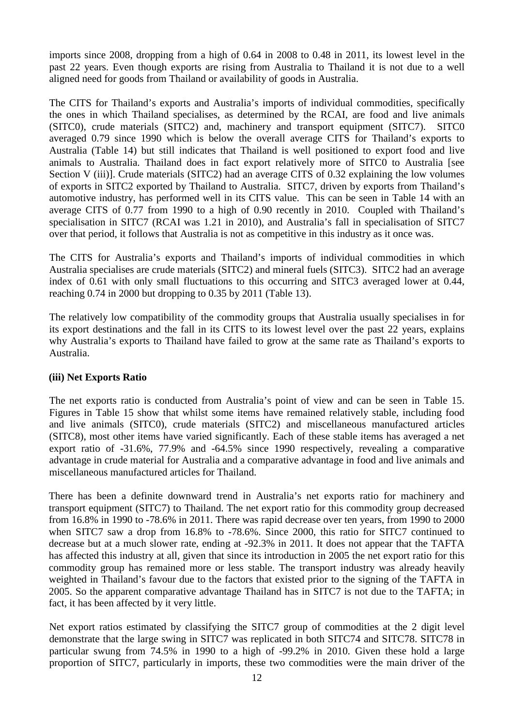imports since 2008, dropping from a high of 0.64 in 2008 to 0.48 in 2011, its lowest level in the past 22 years. Even though exports are rising from Australia to Thailand it is not due to a well aligned need for goods from Thailand or availability of goods in Australia.

The CITS for Thailand's exports and Australia's imports of individual commodities, specifically the ones in which Thailand specialises, as determined by the RCAI, are food and live animals (SITC0), crude materials (SITC2) and, machinery and transport equipment (SITC7). SITC0 averaged 0.79 since 1990 which is below the overall average CITS for Thailand's exports to Australia (Table 14) but still indicates that Thailand is well positioned to export food and live animals to Australia. Thailand does in fact export relatively more of SITC0 to Australia [see Section V (iii)]. Crude materials (SITC2) had an average CITS of 0.32 explaining the low volumes of exports in SITC2 exported by Thailand to Australia. SITC7, driven by exports from Thailand's automotive industry, has performed well in its CITS value. This can be seen in Table 14 with an average CITS of 0.77 from 1990 to a high of 0.90 recently in 2010. Coupled with Thailand's specialisation in SITC7 (RCAI was 1.21 in 2010), and Australia's fall in specialisation of SITC7 over that period, it follows that Australia is not as competitive in this industry as it once was.

The CITS for Australia's exports and Thailand's imports of individual commodities in which Australia specialises are crude materials (SITC2) and mineral fuels (SITC3). SITC2 had an average index of 0.61 with only small fluctuations to this occurring and SITC3 averaged lower at 0.44, reaching 0.74 in 2000 but dropping to 0.35 by 2011 (Table 13).

The relatively low compatibility of the commodity groups that Australia usually specialises in for its export destinations and the fall in its CITS to its lowest level over the past 22 years, explains why Australia's exports to Thailand have failed to grow at the same rate as Thailand's exports to Australia.

# **(iii) Net Exports Ratio**

The net exports ratio is conducted from Australia's point of view and can be seen in Table 15. Figures in Table 15 show that whilst some items have remained relatively stable, including food and live animals (SITC0), crude materials (SITC2) and miscellaneous manufactured articles (SITC8), most other items have varied significantly. Each of these stable items has averaged a net export ratio of -31.6%, 77.9% and -64.5% since 1990 respectively, revealing a comparative advantage in crude material for Australia and a comparative advantage in food and live animals and miscellaneous manufactured articles for Thailand.

There has been a definite downward trend in Australia's net exports ratio for machinery and transport equipment (SITC7) to Thailand. The net export ratio for this commodity group decreased from 16.8% in 1990 to -78.6% in 2011. There was rapid decrease over ten years, from 1990 to 2000 when SITC7 saw a drop from 16.8% to -78.6%. Since 2000, this ratio for SITC7 continued to decrease but at a much slower rate, ending at -92.3% in 2011. It does not appear that the TAFTA has affected this industry at all, given that since its introduction in 2005 the net export ratio for this commodity group has remained more or less stable. The transport industry was already heavily weighted in Thailand's favour due to the factors that existed prior to the signing of the TAFTA in 2005. So the apparent comparative advantage Thailand has in SITC7 is not due to the TAFTA; in fact, it has been affected by it very little.

Net export ratios estimated by classifying the SITC7 group of commodities at the 2 digit level demonstrate that the large swing in SITC7 was replicated in both SITC74 and SITC78. SITC78 in particular swung from 74.5% in 1990 to a high of -99.2% in 2010. Given these hold a large proportion of SITC7, particularly in imports, these two commodities were the main driver of the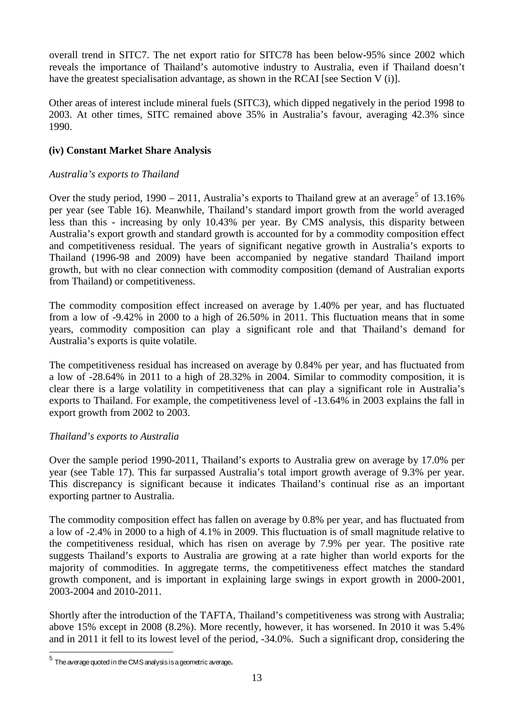overall trend in SITC7. The net export ratio for SITC78 has been below-95% since 2002 which reveals the importance of Thailand's automotive industry to Australia, even if Thailand doesn't have the greatest specialisation advantage, as shown in the RCAI [see Section V (i)].

Other areas of interest include mineral fuels (SITC3), which dipped negatively in the period 1998 to 2003. At other times, SITC remained above 35% in Australia's favour, averaging 42.3% since 1990.

# **(iv) Constant Market Share Analysis**

# *Australia's exports to Thailand*

Over the study period,  $1990 - 2011$ , Australia's exports to Thailand grew at an average<sup>[5](#page-14-0)</sup> of 13.16% per year (see Table 16). Meanwhile, Thailand's standard import growth from the world averaged less than this - increasing by only 10.43% per year. By CMS analysis, this disparity between Australia's export growth and standard growth is accounted for by a commodity composition effect and competitiveness residual. The years of significant negative growth in Australia's exports to Thailand (1996-98 and 2009) have been accompanied by negative standard Thailand import growth, but with no clear connection with commodity composition (demand of Australian exports from Thailand) or competitiveness.

The commodity composition effect increased on average by 1.40% per year, and has fluctuated from a low of -9.42% in 2000 to a high of 26.50% in 2011. This fluctuation means that in some years, commodity composition can play a significant role and that Thailand's demand for Australia's exports is quite volatile.

The competitiveness residual has increased on average by 0.84% per year, and has fluctuated from a low of -28.64% in 2011 to a high of 28.32% in 2004. Similar to commodity composition, it is clear there is a large volatility in competitiveness that can play a significant role in Australia's exports to Thailand. For example, the competitiveness level of -13.64% in 2003 explains the fall in export growth from 2002 to 2003.

# *Thailand's exports to Australia*

Over the sample period 1990-2011, Thailand's exports to Australia grew on average by 17.0% per year (see Table 17). This far surpassed Australia's total import growth average of 9.3% per year. This discrepancy is significant because it indicates Thailand's continual rise as an important exporting partner to Australia.

The commodity composition effect has fallen on average by 0.8% per year, and has fluctuated from a low of -2.4% in 2000 to a high of 4.1% in 2009. This fluctuation is of small magnitude relative to the competitiveness residual, which has risen on average by 7.9% per year. The positive rate suggests Thailand's exports to Australia are growing at a rate higher than world exports for the majority of commodities. In aggregate terms, the competitiveness effect matches the standard growth component, and is important in explaining large swings in export growth in 2000-2001, 2003-2004 and 2010-2011.

Shortly after the introduction of the TAFTA, Thailand's competitiveness was strong with Australia; above 15% except in 2008 (8.2%). More recently, however, it has worsened. In 2010 it was 5.4% and in 2011 it fell to its lowest level of the period, -34.0%. Such a significant drop, considering the

 $\overline{a}$ 

<span id="page-14-0"></span> $^5\,$  The average quoted in the CMS analysis is a geometric average.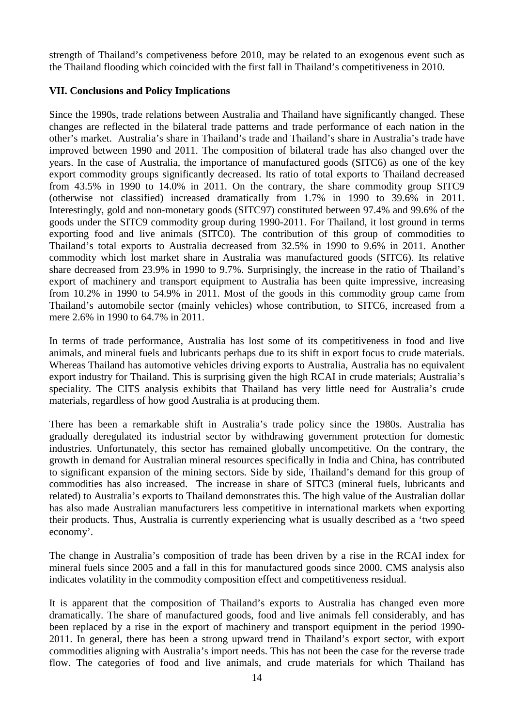strength of Thailand's competiveness before 2010, may be related to an exogenous event such as the Thailand flooding which coincided with the first fall in Thailand's competitiveness in 2010.

# **VII. Conclusions and Policy Implications**

Since the 1990s, trade relations between Australia and Thailand have significantly changed. These changes are reflected in the bilateral trade patterns and trade performance of each nation in the other's market. Australia's share in Thailand's trade and Thailand's share in Australia's trade have improved between 1990 and 2011. The composition of bilateral trade has also changed over the years. In the case of Australia, the importance of manufactured goods (SITC6) as one of the key export commodity groups significantly decreased. Its ratio of total exports to Thailand decreased from 43.5% in 1990 to 14.0% in 2011. On the contrary, the share commodity group SITC9 (otherwise not classified) increased dramatically from 1.7% in 1990 to 39.6% in 2011. Interestingly, gold and non-monetary goods (SITC97) constituted between 97.4% and 99.6% of the goods under the SITC9 commodity group during 1990-2011. For Thailand, it lost ground in terms exporting food and live animals (SITC0). The contribution of this group of commodities to Thailand's total exports to Australia decreased from 32.5% in 1990 to 9.6% in 2011. Another commodity which lost market share in Australia was manufactured goods (SITC6). Its relative share decreased from 23.9% in 1990 to 9.7%. Surprisingly, the increase in the ratio of Thailand's export of machinery and transport equipment to Australia has been quite impressive, increasing from 10.2% in 1990 to 54.9% in 2011. Most of the goods in this commodity group came from Thailand's automobile sector (mainly vehicles) whose contribution, to SITC6, increased from a mere 2.6% in 1990 to 64.7% in 2011.

In terms of trade performance, Australia has lost some of its competitiveness in food and live animals, and mineral fuels and lubricants perhaps due to its shift in export focus to crude materials. Whereas Thailand has automotive vehicles driving exports to Australia, Australia has no equivalent export industry for Thailand. This is surprising given the high RCAI in crude materials; Australia's speciality. The CITS analysis exhibits that Thailand has very little need for Australia's crude materials, regardless of how good Australia is at producing them.

There has been a remarkable shift in Australia's trade policy since the 1980s. Australia has gradually deregulated its industrial sector by withdrawing government protection for domestic industries. Unfortunately, this sector has remained globally uncompetitive. On the contrary, the growth in demand for Australian mineral resources specifically in India and China, has contributed to significant expansion of the mining sectors. Side by side, Thailand's demand for this group of commodities has also increased. The increase in share of SITC3 (mineral fuels, lubricants and related) to Australia's exports to Thailand demonstrates this. The high value of the Australian dollar has also made Australian manufacturers less competitive in international markets when exporting their products. Thus, Australia is currently experiencing what is usually described as a 'two speed economy'.

The change in Australia's composition of trade has been driven by a rise in the RCAI index for mineral fuels since 2005 and a fall in this for manufactured goods since 2000. CMS analysis also indicates volatility in the commodity composition effect and competitiveness residual.

It is apparent that the composition of Thailand's exports to Australia has changed even more dramatically. The share of manufactured goods, food and live animals fell considerably, and has been replaced by a rise in the export of machinery and transport equipment in the period 1990- 2011. In general, there has been a strong upward trend in Thailand's export sector, with export commodities aligning with Australia's import needs. This has not been the case for the reverse trade flow. The categories of food and live animals, and crude materials for which Thailand has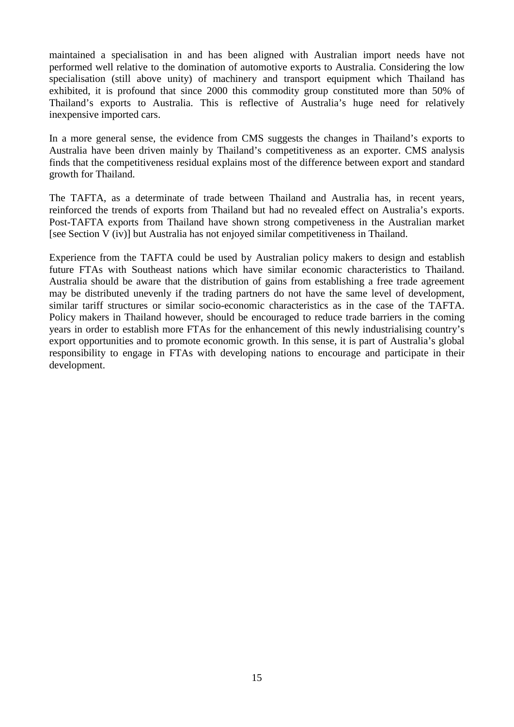maintained a specialisation in and has been aligned with Australian import needs have not performed well relative to the domination of automotive exports to Australia. Considering the low specialisation (still above unity) of machinery and transport equipment which Thailand has exhibited, it is profound that since 2000 this commodity group constituted more than 50% of Thailand's exports to Australia. This is reflective of Australia's huge need for relatively inexpensive imported cars.

In a more general sense, the evidence from CMS suggests the changes in Thailand's exports to Australia have been driven mainly by Thailand's competitiveness as an exporter. CMS analysis finds that the competitiveness residual explains most of the difference between export and standard growth for Thailand.

The TAFTA, as a determinate of trade between Thailand and Australia has, in recent years, reinforced the trends of exports from Thailand but had no revealed effect on Australia's exports. Post-TAFTA exports from Thailand have shown strong competiveness in the Australian market [see Section V (iv)] but Australia has not enjoyed similar competitiveness in Thailand.

Experience from the TAFTA could be used by Australian policy makers to design and establish future FTAs with Southeast nations which have similar economic characteristics to Thailand. Australia should be aware that the distribution of gains from establishing a free trade agreement may be distributed unevenly if the trading partners do not have the same level of development, similar tariff structures or similar socio-economic characteristics as in the case of the TAFTA. Policy makers in Thailand however, should be encouraged to reduce trade barriers in the coming years in order to establish more FTAs for the enhancement of this newly industrialising country's export opportunities and to promote economic growth. In this sense, it is part of Australia's global responsibility to engage in FTAs with developing nations to encourage and participate in their development.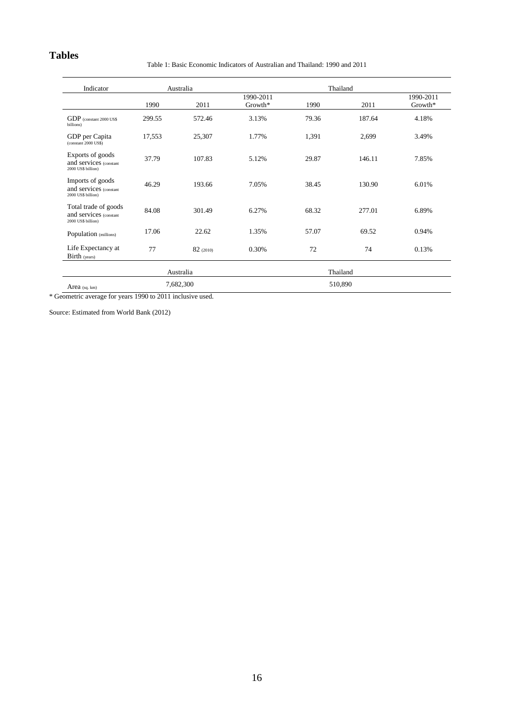# **Tables**

Table 1: Basic Economic Indicators of Australian and Thailand: 1990 and 2011

| Indicator                                                            |           | Australia |           | Thailand |          |         |  |  |
|----------------------------------------------------------------------|-----------|-----------|-----------|----------|----------|---------|--|--|
|                                                                      |           |           | 1990-2011 |          |          |         |  |  |
|                                                                      | 1990      | 2011      | Growth*   | 1990     | 2011     | Growth* |  |  |
| GDP (constant 2000 US\$<br>billions)                                 | 299.55    | 572.46    | 3.13%     | 79.36    | 187.64   | 4.18%   |  |  |
| GDP per Capita<br>(constant 2000 US\$)                               | 17,553    | 25,307    | 1.77%     | 1,391    | 2,699    | 3.49%   |  |  |
| Exports of goods<br>and services (constant<br>2000 US\$ billion)     | 37.79     | 107.83    | 5.12%     | 29.87    | 146.11   | 7.85%   |  |  |
| Imports of goods<br>and services (constant<br>2000 US\$ billion)     | 46.29     | 193.66    | 7.05%     | 38.45    | 130.90   | 6.01%   |  |  |
| Total trade of goods<br>and services (constant<br>2000 US\$ billion) | 84.08     | 301.49    | 6.27%     | 68.32    | 277.01   | 6.89%   |  |  |
| Population (millions)                                                | 17.06     | 22.62     | 1.35%     | 57.07    | 69.52    | 0.94%   |  |  |
| Life Expectancy at<br>Birth (years)                                  | 77        | 82(2010)  | 0.30%     | 72       | 74       | 0.13%   |  |  |
|                                                                      |           | Australia |           |          | Thailand |         |  |  |
| Area $(sq. km)$                                                      | 7,682,300 |           |           |          | 510,890  |         |  |  |

\* Geometric average for years 1990 to 2011 inclusive used.

Source: Estimated from World Bank (2012)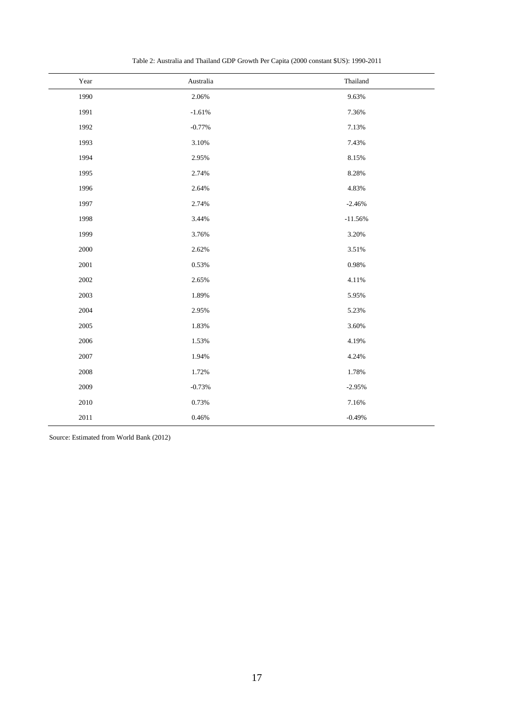| Year     | Australia | Thailand  |
|----------|-----------|-----------|
| 1990     | 2.06%     | 9.63%     |
| 1991     | $-1.61%$  | 7.36%     |
| 1992     | $-0.77%$  | 7.13%     |
| 1993     | 3.10%     | 7.43%     |
| 1994     | 2.95%     | 8.15%     |
| 1995     | 2.74%     | 8.28%     |
| 1996     | 2.64%     | 4.83%     |
| 1997     | 2.74%     | $-2.46%$  |
| 1998     | 3.44%     | $-11.56%$ |
| 1999     | 3.76%     | 3.20%     |
| 2000     | 2.62%     | 3.51%     |
| 2001     | 0.53%     | 0.98%     |
| 2002     | 2.65%     | 4.11%     |
| 2003     | 1.89%     | 5.95%     |
| 2004     | 2.95%     | 5.23%     |
| 2005     | 1.83%     | 3.60%     |
| 2006     | 1.53%     | 4.19%     |
| 2007     | 1.94%     | 4.24%     |
| 2008     | 1.72%     | 1.78%     |
| 2009     | $-0.73%$  | $-2.95%$  |
| $2010\,$ | 0.73%     | 7.16%     |
| $2011\,$ | 0.46%     | $-0.49%$  |

Table 2: Australia and Thailand GDP Growth Per Capita (2000 constant \$US): 1990-2011

Source: Estimated from World Bank (2012)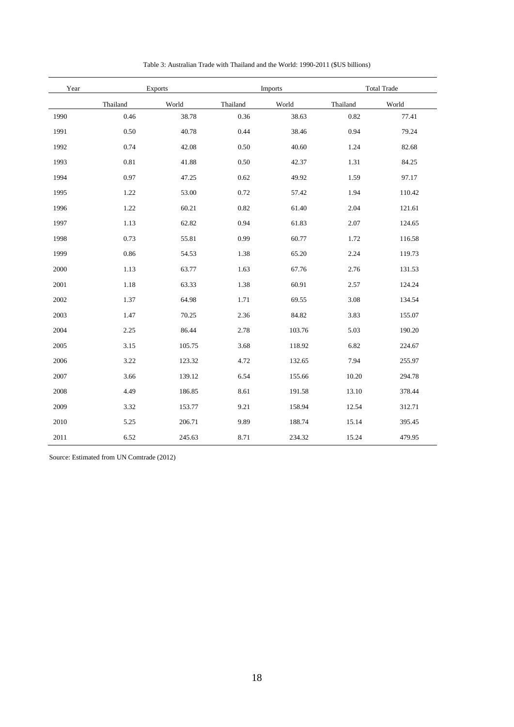| Year | <b>Exports</b> |        |          | Imports |          | <b>Total Trade</b> |  |  |
|------|----------------|--------|----------|---------|----------|--------------------|--|--|
|      | Thailand       | World  | Thailand | World   | Thailand | World              |  |  |
| 1990 | 0.46           | 38.78  | 0.36     | 38.63   | 0.82     | 77.41              |  |  |
| 1991 | 0.50           | 40.78  | 0.44     | 38.46   | 0.94     | 79.24              |  |  |
| 1992 | 0.74           | 42.08  | 0.50     | 40.60   | 1.24     | 82.68              |  |  |
| 1993 | 0.81           | 41.88  | 0.50     | 42.37   | 1.31     | 84.25              |  |  |
| 1994 | 0.97           | 47.25  | 0.62     | 49.92   | 1.59     | 97.17              |  |  |
| 1995 | 1.22           | 53.00  | 0.72     | 57.42   | 1.94     | 110.42             |  |  |
| 1996 | 1.22           | 60.21  | 0.82     | 61.40   | 2.04     | 121.61             |  |  |
| 1997 | 1.13           | 62.82  | 0.94     | 61.83   | 2.07     | 124.65             |  |  |
| 1998 | 0.73           | 55.81  | 0.99     | 60.77   | 1.72     | 116.58             |  |  |
| 1999 | 0.86           | 54.53  | 1.38     | 65.20   | 2.24     | 119.73             |  |  |
| 2000 | 1.13           | 63.77  | 1.63     | 67.76   | 2.76     | 131.53             |  |  |
| 2001 | 1.18           | 63.33  | 1.38     | 60.91   | 2.57     | 124.24             |  |  |
| 2002 | 1.37           | 64.98  | 1.71     | 69.55   | 3.08     | 134.54             |  |  |
| 2003 | 1.47           | 70.25  | 2.36     | 84.82   | 3.83     | 155.07             |  |  |
| 2004 | 2.25           | 86.44  | 2.78     | 103.76  | 5.03     | 190.20             |  |  |
| 2005 | 3.15           | 105.75 | 3.68     | 118.92  | 6.82     | 224.67             |  |  |
| 2006 | 3.22           | 123.32 | 4.72     | 132.65  | 7.94     | 255.97             |  |  |
| 2007 | 3.66           | 139.12 | 6.54     | 155.66  | 10.20    | 294.78             |  |  |
| 2008 | 4.49           | 186.85 | 8.61     | 191.58  | 13.10    | 378.44             |  |  |
| 2009 | 3.32           | 153.77 | 9.21     | 158.94  | 12.54    | 312.71             |  |  |
| 2010 | 5.25           | 206.71 | 9.89     | 188.74  | 15.14    | 395.45             |  |  |
| 2011 | 6.52           | 245.63 | 8.71     | 234.32  | 15.24    | 479.95             |  |  |

Table 3: Australian Trade with Thailand and the World: 1990-2011 (\$US billions)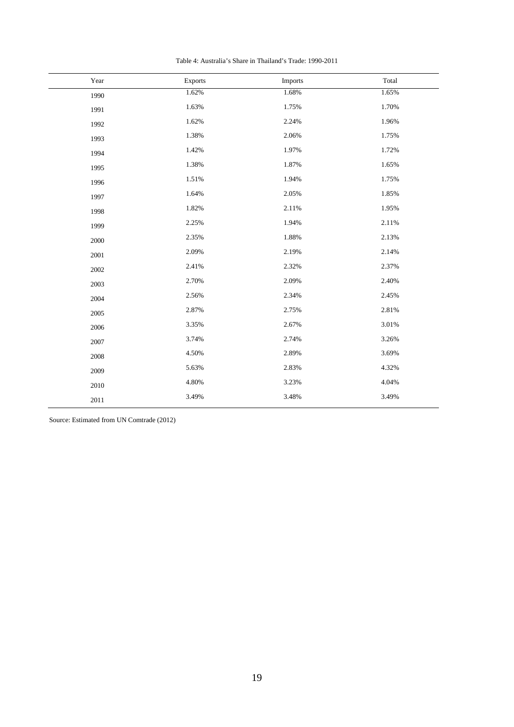| Table 4: Australia's Share in Thailand's Trade: 1990-2011 |  |
|-----------------------------------------------------------|--|
|-----------------------------------------------------------|--|

| Year | Exports  | Imports | Total |
|------|----------|---------|-------|
| 1990 | 1.62%    | 1.68%   | 1.65% |
| 1991 | 1.63%    | 1.75%   | 1.70% |
| 1992 | 1.62%    | 2.24%   | 1.96% |
| 1993 | 1.38%    | 2.06%   | 1.75% |
| 1994 | 1.42%    | 1.97%   | 1.72% |
| 1995 | 1.38%    | 1.87%   | 1.65% |
| 1996 | $1.51\%$ | 1.94%   | 1.75% |
| 1997 | 1.64%    | 2.05%   | 1.85% |
| 1998 | 1.82%    | 2.11%   | 1.95% |
| 1999 | 2.25%    | 1.94%   | 2.11% |
| 2000 | 2.35%    | 1.88%   | 2.13% |
| 2001 | 2.09%    | 2.19%   | 2.14% |
| 2002 | 2.41%    | 2.32%   | 2.37% |
| 2003 | 2.70%    | 2.09%   | 2.40% |
| 2004 | 2.56%    | 2.34%   | 2.45% |
| 2005 | 2.87%    | 2.75%   | 2.81% |
| 2006 | 3.35%    | 2.67%   | 3.01% |
| 2007 | 3.74%    | 2.74%   | 3.26% |
| 2008 | 4.50%    | 2.89%   | 3.69% |
| 2009 | 5.63%    | 2.83%   | 4.32% |
| 2010 | 4.80%    | 3.23%   | 4.04% |
| 2011 | 3.49%    | 3.48%   | 3.49% |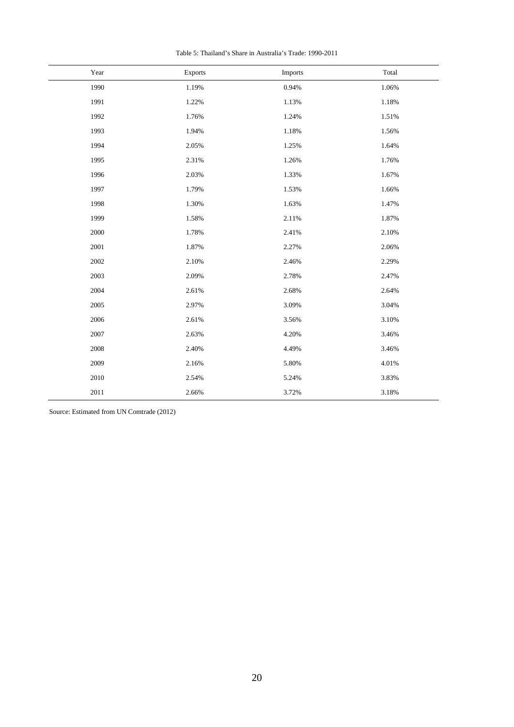| Table 5: Thailand's Share in Australia's Trade: 1990-2011 |  |  |
|-----------------------------------------------------------|--|--|
|-----------------------------------------------------------|--|--|

| Year | Exports | Imports | Total |
|------|---------|---------|-------|
| 1990 | 1.19%   | 0.94%   | 1.06% |
| 1991 | 1.22%   | 1.13%   | 1.18% |
| 1992 | 1.76%   | 1.24%   | 1.51% |
| 1993 | 1.94%   | 1.18%   | 1.56% |
| 1994 | 2.05%   | 1.25%   | 1.64% |
| 1995 | 2.31%   | 1.26%   | 1.76% |
| 1996 | 2.03%   | 1.33%   | 1.67% |
| 1997 | 1.79%   | 1.53%   | 1.66% |
| 1998 | 1.30%   | 1.63%   | 1.47% |
| 1999 | 1.58%   | 2.11%   | 1.87% |
| 2000 | 1.78%   | 2.41%   | 2.10% |
| 2001 | 1.87%   | 2.27%   | 2.06% |
| 2002 | 2.10%   | 2.46%   | 2.29% |
| 2003 | 2.09%   | 2.78%   | 2.47% |
| 2004 | 2.61%   | 2.68%   | 2.64% |
| 2005 | 2.97%   | 3.09%   | 3.04% |
| 2006 | 2.61%   | 3.56%   | 3.10% |
| 2007 | 2.63%   | 4.20%   | 3.46% |
| 2008 | 2.40%   | 4.49%   | 3.46% |
| 2009 | 2.16%   | 5.80%   | 4.01% |
| 2010 | 2.54%   | 5.24%   | 3.83% |
| 2011 | 2.66%   | 3.72%   | 3.18% |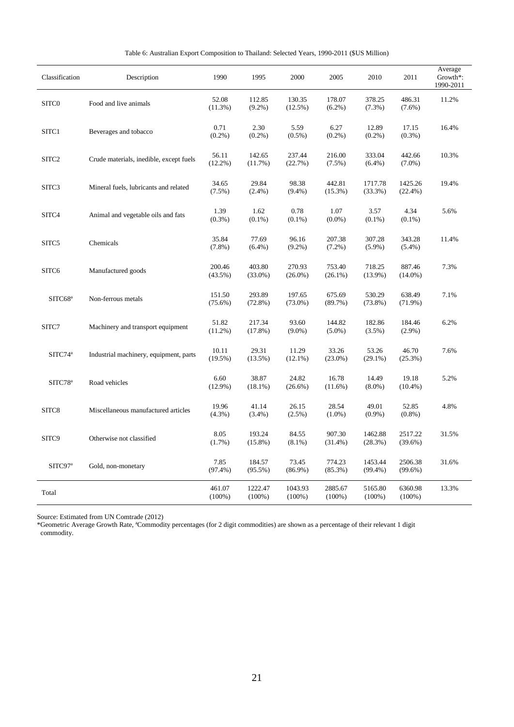| Table 6: Australian Export Composition to Thailand: Selected Years, 1990-2011 (\$US Million) |  |  |  |  |  |  |  |  |
|----------------------------------------------------------------------------------------------|--|--|--|--|--|--|--|--|
|----------------------------------------------------------------------------------------------|--|--|--|--|--|--|--|--|

| Classification      | Description                             | 1990                 | 1995                 | 2000                 | 2005                 | 2010                  | 2011                  | Average<br>Growth*:<br>1990-2011 |
|---------------------|-----------------------------------------|----------------------|----------------------|----------------------|----------------------|-----------------------|-----------------------|----------------------------------|
| SITC <sub>0</sub>   | Food and live animals                   | 52.08<br>$(11.3\%)$  | 112.85<br>$(9.2\%)$  | 130.35<br>$(12.5\%)$ | 178.07<br>$(6.2\%)$  | 378.25<br>(7.3%)      | 486.31<br>$(7.6\%)$   | 11.2%                            |
| SITC1               | Beverages and tobacco                   | 0.71<br>$(0.2\%)$    | 2.30<br>(0.2%)       | 5.59<br>$(0.5\%)$    | 6.27<br>$(0.2\%)$    | 12.89<br>$(0.2\%)$    | 17.15<br>$(0.3\%)$    | 16.4%                            |
| SITC <sub>2</sub>   | Crude materials, inedible, except fuels | 56.11<br>$(12.2\%)$  | 142.65<br>(11.7%)    | 237.44<br>(22.7%)    | 216.00<br>$(7.5\%)$  | 333.04<br>$(6.4\%)$   | 442.66<br>$(7.0\%)$   | 10.3%                            |
| SITC3               | Mineral fuels, lubricants and related   | 34.65<br>$(7.5\%)$   | 29.84<br>$(2.4\%)$   | 98.38<br>$(9.4\%)$   | 442.81<br>$(15.3\%)$ | 1717.78<br>(33.3%)    | 1425.26<br>$(22.4\%)$ | 19.4%                            |
| SITC4               | Animal and vegetable oils and fats      | 1.39<br>$(0.3\%)$    | 1.62<br>$(0.1\%)$    | 0.78<br>$(0.1\%)$    | 1.07<br>$(0.0\%)$    | 3.57<br>$(0.1\%)$     | 4.34<br>$(0.1\%)$     | 5.6%                             |
| SITC5               | Chemicals                               | 35.84<br>$(7.8\%)$   | 77.69<br>$(6.4\%)$   | 96.16<br>$(9.2\%)$   | 207.38<br>$(7.2\%)$  | 307.28<br>$(5.9\%)$   | 343.28<br>$(5.4\%)$   | 11.4%                            |
| SITC <sub>6</sub>   | Manufactured goods                      | 200.46<br>$(43.5\%)$ | 403.80<br>$(33.0\%)$ | 270.93<br>$(26.0\%)$ | 753.40<br>$(26.1\%)$ | 718.25<br>$(13.9\%)$  | 887.46<br>$(14.0\%)$  | 7.3%                             |
| SITC68 <sup>ª</sup> | Non-ferrous metals                      | 151.50<br>$(75.6\%)$ | 293.89<br>$(72.8\%)$ | 197.65<br>$(73.0\%)$ | 675.69<br>$(89.7\%)$ | 530.29<br>$(73.8\%)$  | 638.49<br>$(71.9\%)$  | 7.1%                             |
| SITC7               | Machinery and transport equipment       | 51.82<br>$(11.2\%)$  | 217.34<br>(17.8%)    | 93.60<br>$(9.0\%)$   | 144.82<br>$(5.0\%)$  | 182.86<br>(3.5%)      | 184.46<br>$(2.9\%)$   | 6.2%                             |
| SITC74 <sup>a</sup> | Industrial machinery, equipment, parts  | 10.11<br>$(19.5\%)$  | 29.31<br>$(13.5\%)$  | 11.29<br>$(12.1\%)$  | 33.26<br>$(23.0\%)$  | 53.26<br>$(29.1\%)$   | 46.70<br>(25.3%)      | 7.6%                             |
| SITC78 <sup>a</sup> | Road vehicles                           | 6.60<br>$(12.9\%)$   | 38.87<br>$(18.1\%)$  | 24.82<br>$(26.6\%)$  | 16.78<br>$(11.6\%)$  | 14.49<br>$(8.0\%)$    | 19.18<br>$(10.4\%)$   | 5.2%                             |
| SITC8               | Miscellaneous manufactured articles     | 19.96<br>$(4.3\%)$   | 41.14<br>$(3.4\%)$   | 26.15<br>$(2.5\%)$   | 28.54<br>$(1.0\%)$   | 49.01<br>$(0.9\%)$    | 52.85<br>$(0.8\%)$    | 4.8%                             |
| SITC <sub>9</sub>   | Otherwise not classified                | 8.05<br>(1.7%)       | 193.24<br>$(15.8\%)$ | 84.55<br>$(8.1\%)$   | 907.30<br>$(31.4\%)$ | 1462.88<br>(28.3%)    | 2517.22<br>$(39.6\%)$ | 31.5%                            |
| SITC97 <sup>a</sup> | Gold, non-monetary                      | 7.85<br>$(97.4\%)$   | 184.57<br>$(95.5\%)$ | 73.45<br>$(86.9\%)$  | 774.23<br>$(85.3\%)$ | 1453.44<br>$(99.4\%)$ | 2506.38<br>$(99.6\%)$ | 31.6%                            |
| Total               |                                         | 461.07<br>$(100\%)$  | 1222.47<br>$(100\%)$ | 1043.93<br>$(100\%)$ | 2885.67<br>$(100\%)$ | 5165.80<br>$(100\%)$  | 6360.98<br>$(100\%)$  | 13.3%                            |

\*Geometric Average Growth Rate, ªCommodity percentages (for 2 digit commodities) are shown as a percentage of their relevant 1 digit commodity.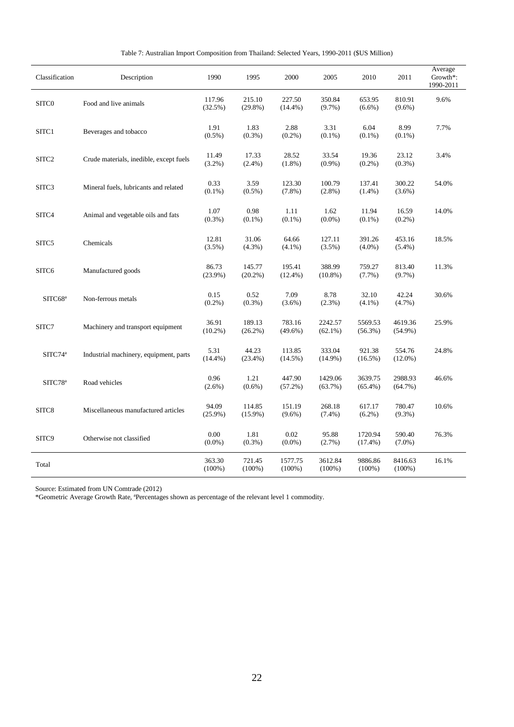|  |  |  |  | Table 7: Australian Import Composition from Thailand: Selected Years, 1990-2011 (\$US Million) |  |  |  |  |
|--|--|--|--|------------------------------------------------------------------------------------------------|--|--|--|--|
|--|--|--|--|------------------------------------------------------------------------------------------------|--|--|--|--|

| Classification      | Description                             | 1990                | 1995                 | 2000                 | 2005                  | 2010                  | 2011                  | Average<br>Growth*:<br>1990-2011 |
|---------------------|-----------------------------------------|---------------------|----------------------|----------------------|-----------------------|-----------------------|-----------------------|----------------------------------|
| SITC0               | Food and live animals                   | 117.96<br>(32.5%)   | 215.10<br>$(29.8\%)$ | 227.50<br>$(14.4\%)$ | 350.84<br>(9.7%)      | 653.95<br>$(6.6\%)$   | 810.91<br>$(9.6\%)$   | 9.6%                             |
| SITC1               | Beverages and tobacco                   | 1.91<br>$(0.5\%)$   | 1.83<br>$(0.3\%)$    | 2.88<br>$(0.2\%)$    | 3.31<br>$(0.1\%)$     | 6.04<br>$(0.1\%)$     | 8.99<br>$(0.1\%)$     | 7.7%                             |
| SITC <sub>2</sub>   | Crude materials, inedible, except fuels | 11.49<br>$(3.2\%)$  | 17.33<br>$(2.4\%)$   | 28.52<br>$(1.8\%)$   | 33.54<br>$(0.9\%)$    | 19.36<br>$(0.2\%)$    | 23.12<br>$(0.3\%)$    | 3.4%                             |
| SITC3               | Mineral fuels, lubricants and related   | 0.33<br>$(0.1\%)$   | 3.59<br>$(0.5\%)$    | 123.30<br>$(7.8\%)$  | 100.79<br>$(2.8\%)$   | 137.41<br>$(1.4\%)$   | 300.22<br>$(3.6\%)$   | 54.0%                            |
| SITC4               | Animal and vegetable oils and fats      | 1.07<br>$(0.3\%)$   | 0.98<br>$(0.1\%)$    | 1.11<br>$(0.1\%)$    | 1.62<br>$(0.0\%)$     | 11.94<br>$(0.1\%)$    | 16.59<br>$(0.2\%)$    | 14.0%                            |
| SITC5               | Chemicals                               | 12.81<br>(3.5%)     | 31.06<br>(4.3%)      | 64.66<br>$(4.1\%)$   | 127.11<br>(3.5%)      | 391.26<br>$(4.0\%)$   | 453.16<br>$(5.4\%)$   | 18.5%                            |
| SITC6               | Manufactured goods                      | 86.73<br>$(23.9\%)$ | 145.77<br>(20.2%)    | 195.41<br>$(12.4\%)$ | 388.99<br>$(10.8\%)$  | 759.27<br>(7.7%)      | 813.40<br>(9.7%)      | 11.3%                            |
| SITC68 <sup>a</sup> | Non-ferrous metals                      | 0.15<br>$(0.2\%)$   | 0.52<br>$(0.3\%)$    | 7.09<br>$(3.6\%)$    | 8.78<br>$(2.3\%)$     | 32.10<br>$(4.1\%)$    | 42.24<br>$(4.7\%)$    | 30.6%                            |
| $\mathrm{SITC}7$    | Machinery and transport equipment       | 36.91<br>$(10.2\%)$ | 189.13<br>$(26.2\%)$ | 783.16<br>$(49.6\%)$ | 2242.57<br>$(62.1\%)$ | 5569.53<br>$(56.3\%)$ | 4619.36<br>$(54.9\%)$ | 25.9%                            |
| SITC74 <sup>a</sup> | Industrial machinery, equipment, parts  | 5.31<br>$(14.4\%)$  | 44.23<br>$(23.4\%)$  | 113.85<br>$(14.5\%)$ | 333.04<br>$(14.9\%)$  | 921.38<br>$(16.5\%)$  | 554.76<br>$(12.0\%)$  | 24.8%                            |
| SITC78 <sup>a</sup> | Road vehicles                           | 0.96<br>$(2.6\%)$   | 1.21<br>$(0.6\%)$    | 447.90<br>$(57.2\%)$ | 1429.06<br>(63.7%)    | 3639.75<br>$(65.4\%)$ | 2988.93<br>$(64.7\%)$ | 46.6%                            |
| SITC8               | Miscellaneous manufactured articles     | 94.09<br>$(25.9\%)$ | 114.85<br>$(15.9\%)$ | 151.19<br>$(9.6\%)$  | 268.18<br>$(7.4\%)$   | 617.17<br>$(6.2\%)$   | 780.47<br>$(9.3\%)$   | 10.6%                            |
| SITC9               | Otherwise not classified                | 0.00<br>$(0.0\%)$   | 1.81<br>$(0.3\%)$    | 0.02<br>$(0.0\%)$    | 95.88<br>$(2.7\%)$    | 1720.94<br>$(17.4\%)$ | 590.40<br>$(7.0\%)$   | 76.3%                            |
| Total               |                                         | 363.30<br>$(100\%)$ | 721.45<br>$(100\%)$  | 1577.75<br>$(100\%)$ | 3612.84<br>$(100\%)$  | 9886.86<br>$(100\%)$  | 8416.63<br>$(100\%)$  | 16.1%                            |

\*Geometric Average Growth Rate, ªPercentages shown as percentage of the relevant level 1 commodity.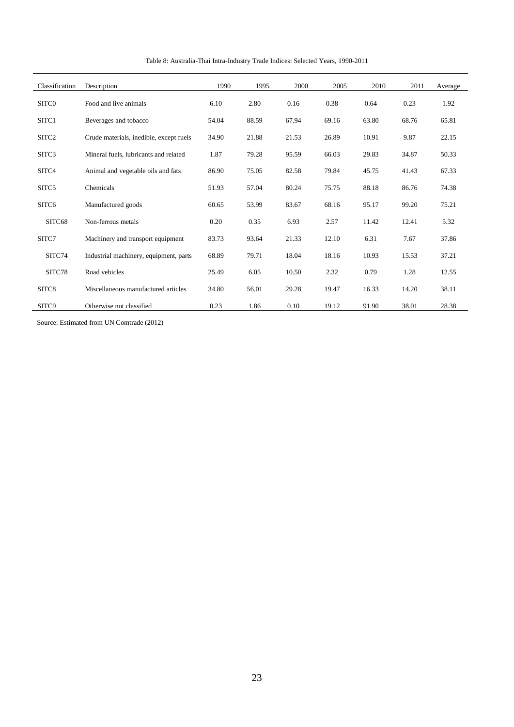| Classification    | Description                             | 1990  | 1995  | 2000  | 2005  | 2010  | 2011  | Average |
|-------------------|-----------------------------------------|-------|-------|-------|-------|-------|-------|---------|
| SITC <sub>0</sub> | Food and live animals                   | 6.10  | 2.80  | 0.16  | 0.38  | 0.64  | 0.23  | 1.92    |
| SITC1             | Beverages and tobacco                   | 54.04 | 88.59 | 67.94 | 69.16 | 63.80 | 68.76 | 65.81   |
| SITC <sub>2</sub> | Crude materials, inedible, except fuels | 34.90 | 21.88 | 21.53 | 26.89 | 10.91 | 9.87  | 22.15   |
| SITC <sub>3</sub> | Mineral fuels, lubricants and related   | 1.87  | 79.28 | 95.59 | 66.03 | 29.83 | 34.87 | 50.33   |
| SITC4             | Animal and vegetable oils and fats      | 86.90 | 75.05 | 82.58 | 79.84 | 45.75 | 41.43 | 67.33   |
| SITC5             | Chemicals                               | 51.93 | 57.04 | 80.24 | 75.75 | 88.18 | 86.76 | 74.38   |
| SITC6             | Manufactured goods                      | 60.65 | 53.99 | 83.67 | 68.16 | 95.17 | 99.20 | 75.21   |
| SITC68            | Non-ferrous metals                      | 0.20  | 0.35  | 6.93  | 2.57  | 11.42 | 12.41 | 5.32    |
| SITC7             | Machinery and transport equipment       | 83.73 | 93.64 | 21.33 | 12.10 | 6.31  | 7.67  | 37.86   |
| SITC74            | Industrial machinery, equipment, parts  | 68.89 | 79.71 | 18.04 | 18.16 | 10.93 | 15.53 | 37.21   |
| SITC78            | Road vehicles                           | 25.49 | 6.05  | 10.50 | 2.32  | 0.79  | 1.28  | 12.55   |
| SITC8             | Miscellaneous manufactured articles     | 34.80 | 56.01 | 29.28 | 19.47 | 16.33 | 14.20 | 38.11   |
| SITC9             | Otherwise not classified                | 0.23  | 1.86  | 0.10  | 19.12 | 91.90 | 38.01 | 28.38   |

Table 8: Australia-Thai Intra-Industry Trade Indices: Selected Years, 1990-2011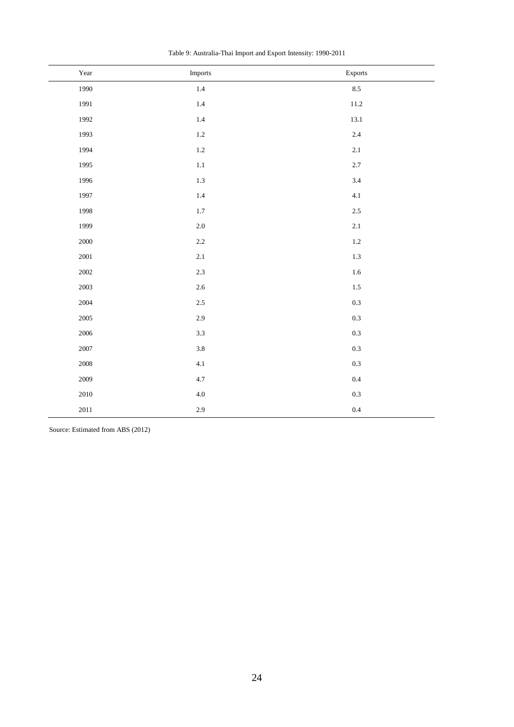| Year     | Imports | Exports |
|----------|---------|---------|
| 1990     | 1.4     | 8.5     |
| 1991     | $1.4\,$ | 11.2    |
| 1992     | $1.4\,$ | 13.1    |
| 1993     | $1.2\,$ | 2.4     |
| 1994     | $1.2\,$ | $2.1\,$ |
| 1995     | $1.1\,$ | 2.7     |
| 1996     | 1.3     | 3.4     |
| 1997     | $1.4\,$ | 4.1     |
| 1998     | 1.7     | 2.5     |
| 1999     | $2.0\,$ | $2.1\,$ |
| $2000\,$ | $2.2\,$ | $1.2\,$ |
| 2001     | $2.1\,$ | 1.3     |
| 2002     | 2.3     | $1.6\,$ |
| 2003     | $2.6\,$ | $1.5\,$ |
| 2004     | $2.5\,$ | 0.3     |
| 2005     | 2.9     | 0.3     |
| 2006     | 3.3     | 0.3     |
| 2007     | 3.8     | 0.3     |
| 2008     | 4.1     | 0.3     |
| 2009     | $4.7\,$ | 0.4     |
| $2010\,$ | $4.0\,$ | 0.3     |
| $2011\,$ | 2.9     | $0.4\,$ |

Table 9: Australia-Thai Import and Export Intensity: 1990-2011

Source: Estimated from ABS (2012)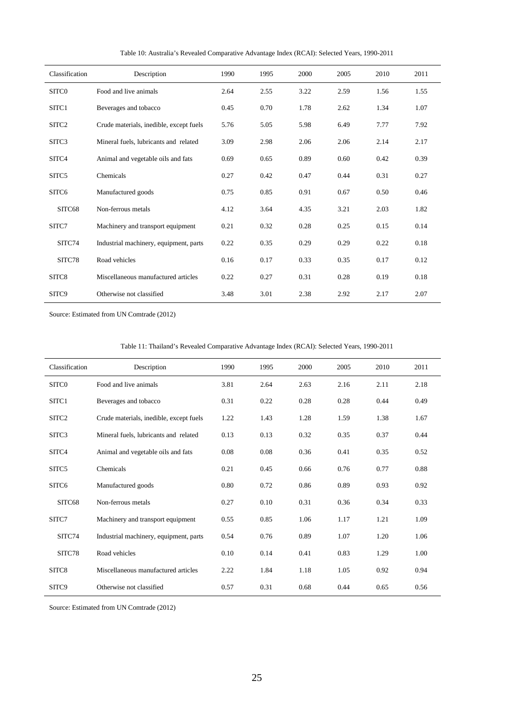| Classification    | Description                             | 1990 | 1995 | 2000 | 2005 | 2010 | 2011 |
|-------------------|-----------------------------------------|------|------|------|------|------|------|
| SITC <sub>0</sub> | Food and live animals                   | 2.64 | 2.55 | 3.22 | 2.59 | 1.56 | 1.55 |
| SITC1             | Beverages and tobacco                   | 0.45 | 0.70 | 1.78 | 2.62 | 1.34 | 1.07 |
| SITC <sub>2</sub> | Crude materials, inedible, except fuels | 5.76 | 5.05 | 5.98 | 6.49 | 7.77 | 7.92 |
| SITC <sub>3</sub> | Mineral fuels, lubricants and related   | 3.09 | 2.98 | 2.06 | 2.06 | 2.14 | 2.17 |
| SITC4             | Animal and vegetable oils and fats      | 0.69 | 0.65 | 0.89 | 0.60 | 0.42 | 0.39 |
| SITC5             | Chemicals                               | 0.27 | 0.42 | 0.47 | 0.44 | 0.31 | 0.27 |
| SITC <sub>6</sub> | Manufactured goods                      | 0.75 | 0.85 | 0.91 | 0.67 | 0.50 | 0.46 |
| SITC68            | Non-ferrous metals                      | 4.12 | 3.64 | 4.35 | 3.21 | 2.03 | 1.82 |
| SITC7             | Machinery and transport equipment       | 0.21 | 0.32 | 0.28 | 0.25 | 0.15 | 0.14 |
| SITC74            | Industrial machinery, equipment, parts  | 0.22 | 0.35 | 0.29 | 0.29 | 0.22 | 0.18 |
| SITC78            | Road vehicles                           | 0.16 | 0.17 | 0.33 | 0.35 | 0.17 | 0.12 |
| SITC8             | Miscellaneous manufactured articles     | 0.22 | 0.27 | 0.31 | 0.28 | 0.19 | 0.18 |
| SITC9             | Otherwise not classified                | 3.48 | 3.01 | 2.38 | 2.92 | 2.17 | 2.07 |

Table 10: Australia's Revealed Comparative Advantage Index (RCAI): Selected Years, 1990-2011

| Classification    | Description                             | 1990 | 1995 | 2000 | 2005 | 2010 | 2011 |
|-------------------|-----------------------------------------|------|------|------|------|------|------|
| SITC0             | Food and live animals                   | 3.81 | 2.64 | 2.63 | 2.16 | 2.11 | 2.18 |
| SITC1             | Beverages and tobacco                   | 0.31 | 0.22 | 0.28 | 0.28 | 0.44 | 0.49 |
| SITC <sub>2</sub> | Crude materials, inedible, except fuels | 1.22 | 1.43 | 1.28 | 1.59 | 1.38 | 1.67 |
| SITC3             | Mineral fuels, lubricants and related   | 0.13 | 0.13 | 0.32 | 0.35 | 0.37 | 0.44 |
| SITC4             | Animal and vegetable oils and fats      | 0.08 | 0.08 | 0.36 | 0.41 | 0.35 | 0.52 |
| SITC <sub>5</sub> | Chemicals                               | 0.21 | 0.45 | 0.66 | 0.76 | 0.77 | 0.88 |
| SITC <sub>6</sub> | Manufactured goods                      | 0.80 | 0.72 | 0.86 | 0.89 | 0.93 | 0.92 |
| SITC68            | Non-ferrous metals                      | 0.27 | 0.10 | 0.31 | 0.36 | 0.34 | 0.33 |
| SITC7             | Machinery and transport equipment       | 0.55 | 0.85 | 1.06 | 1.17 | 1.21 | 1.09 |
| SITC74            | Industrial machinery, equipment, parts  | 0.54 | 0.76 | 0.89 | 1.07 | 1.20 | 1.06 |
| SITC78            | Road vehicles                           | 0.10 | 0.14 | 0.41 | 0.83 | 1.29 | 1.00 |
| SITC8             | Miscellaneous manufactured articles     | 2.22 | 1.84 | 1.18 | 1.05 | 0.92 | 0.94 |
| SITC9             | Otherwise not classified                | 0.57 | 0.31 | 0.68 | 0.44 | 0.65 | 0.56 |

Table 11: Thailand's Revealed Comparative Advantage Index (RCAI): Selected Years, 1990-2011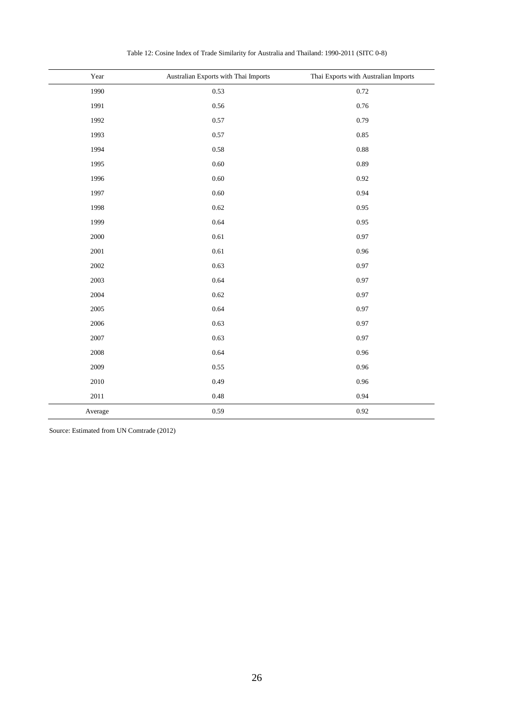| Year    | Australian Exports with Thai Imports | Thai Exports with Australian Imports |
|---------|--------------------------------------|--------------------------------------|
| 1990    | 0.53                                 | 0.72                                 |
| 1991    | 0.56                                 | 0.76                                 |
| 1992    | 0.57                                 | 0.79                                 |
| 1993    | 0.57                                 | 0.85                                 |
| 1994    | 0.58                                 | 0.88                                 |
| 1995    | 0.60                                 | 0.89                                 |
| 1996    | 0.60                                 | 0.92                                 |
| 1997    | 0.60                                 | 0.94                                 |
| 1998    | 0.62                                 | 0.95                                 |
| 1999    | 0.64                                 | 0.95                                 |
| 2000    | $0.61\,$                             | 0.97                                 |
| 2001    | 0.61                                 | 0.96                                 |
| 2002    | 0.63                                 | 0.97                                 |
| 2003    | 0.64                                 | 0.97                                 |
| 2004    | 0.62                                 | 0.97                                 |
| 2005    | 0.64                                 | 0.97                                 |
| 2006    | 0.63                                 | 0.97                                 |
| 2007    | 0.63                                 | 0.97                                 |
| 2008    | 0.64                                 | 0.96                                 |
| 2009    | 0.55                                 | 0.96                                 |
| 2010    | 0.49                                 | 0.96                                 |
| 2011    | 0.48                                 | 0.94                                 |
| Average | 0.59                                 | 0.92                                 |

Table 12: Cosine Index of Trade Similarity for Australia and Thailand: 1990-2011 (SITC 0-8)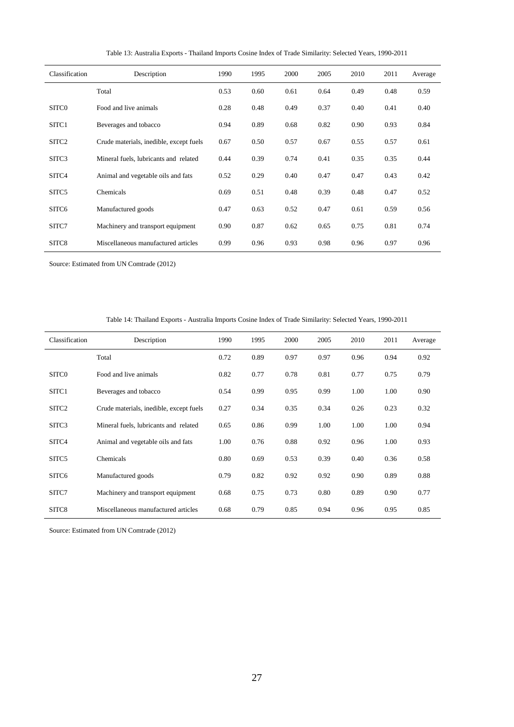| Classification    | Description                             | 1990 | 1995 | 2000 | 2005 | 2010 | 2011 | Average |
|-------------------|-----------------------------------------|------|------|------|------|------|------|---------|
|                   | Total                                   | 0.53 | 0.60 | 0.61 | 0.64 | 0.49 | 0.48 | 0.59    |
| SITC <sub>0</sub> | Food and live animals                   | 0.28 | 0.48 | 0.49 | 0.37 | 0.40 | 0.41 | 0.40    |
| SITC1             | Beverages and tobacco                   | 0.94 | 0.89 | 0.68 | 0.82 | 0.90 | 0.93 | 0.84    |
| SITC <sub>2</sub> | Crude materials, inedible, except fuels | 0.67 | 0.50 | 0.57 | 0.67 | 0.55 | 0.57 | 0.61    |
| SITC3             | Mineral fuels, lubricants and related   | 0.44 | 0.39 | 0.74 | 0.41 | 0.35 | 0.35 | 0.44    |
| SITC4             | Animal and vegetable oils and fats      | 0.52 | 0.29 | 0.40 | 0.47 | 0.47 | 0.43 | 0.42    |
| SITC <sub>5</sub> | Chemicals                               | 0.69 | 0.51 | 0.48 | 0.39 | 0.48 | 0.47 | 0.52    |
| SITC <sub>6</sub> | Manufactured goods                      | 0.47 | 0.63 | 0.52 | 0.47 | 0.61 | 0.59 | 0.56    |
| SITC7             | Machinery and transport equipment       | 0.90 | 0.87 | 0.62 | 0.65 | 0.75 | 0.81 | 0.74    |
| SITC8             | Miscellaneous manufactured articles     | 0.99 | 0.96 | 0.93 | 0.98 | 0.96 | 0.97 | 0.96    |

Table 13: Australia Exports - Thailand Imports Cosine Index of Trade Similarity: Selected Years, 1990-2011

| Table 14: Thailand Exports - Australia Imports Cosine Index of Trade Similarity: Selected Years, 1990-2011 |  |  |  |  |  |
|------------------------------------------------------------------------------------------------------------|--|--|--|--|--|
|------------------------------------------------------------------------------------------------------------|--|--|--|--|--|

| Classification    | Description                             | 1990 | 1995 | 2000 | 2005 | 2010 | 2011 | Average |
|-------------------|-----------------------------------------|------|------|------|------|------|------|---------|
|                   | Total                                   | 0.72 | 0.89 | 0.97 | 0.97 | 0.96 | 0.94 | 0.92    |
| SITC <sub>0</sub> | Food and live animals                   | 0.82 | 0.77 | 0.78 | 0.81 | 0.77 | 0.75 | 0.79    |
| SITC1             | Beverages and tobacco                   | 0.54 | 0.99 | 0.95 | 0.99 | 1.00 | 1.00 | 0.90    |
| SITC <sub>2</sub> | Crude materials, inedible, except fuels | 0.27 | 0.34 | 0.35 | 0.34 | 0.26 | 0.23 | 0.32    |
| SITC <sub>3</sub> | Mineral fuels, lubricants and related   | 0.65 | 0.86 | 0.99 | 1.00 | 1.00 | 1.00 | 0.94    |
| SITC4             | Animal and vegetable oils and fats      | 1.00 | 0.76 | 0.88 | 0.92 | 0.96 | 1.00 | 0.93    |
| SITC5             | Chemicals                               | 0.80 | 0.69 | 0.53 | 0.39 | 0.40 | 0.36 | 0.58    |
| SITC <sub>6</sub> | Manufactured goods                      | 0.79 | 0.82 | 0.92 | 0.92 | 0.90 | 0.89 | 0.88    |
| SITC7             | Machinery and transport equipment       | 0.68 | 0.75 | 0.73 | 0.80 | 0.89 | 0.90 | 0.77    |
| SITC8             | Miscellaneous manufactured articles     | 0.68 | 0.79 | 0.85 | 0.94 | 0.96 | 0.95 | 0.85    |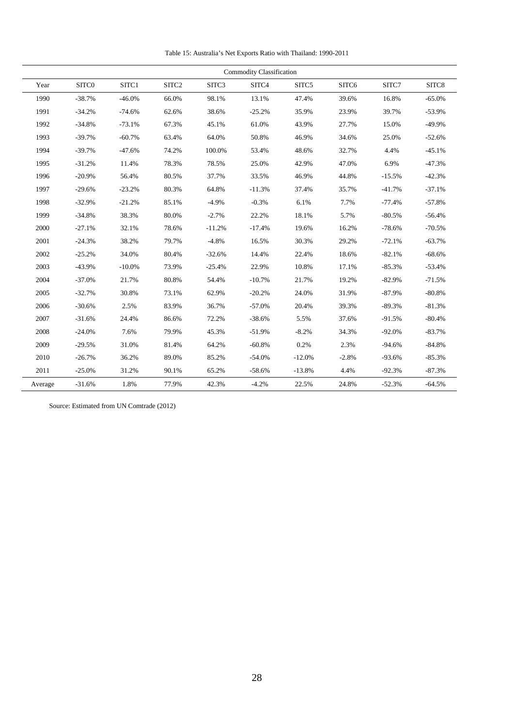Table 15: Australia's Net Exports Ratio with Thailand: 1990-2011

|         |          |          |       |          | Commodity Classification |          |         |          |          |
|---------|----------|----------|-------|----------|--------------------------|----------|---------|----------|----------|
| Year    | SITC0    | SITC1    | SITC2 | SITC3    | SITC4                    | SITC5    | SITC6   | SITC7    | SITC8    |
| 1990    | $-38.7%$ | $-46.0%$ | 66.0% | 98.1%    | 13.1%                    | 47.4%    | 39.6%   | 16.8%    | $-65.0%$ |
| 1991    | $-34.2%$ | $-74.6%$ | 62.6% | 38.6%    | $-25.2%$                 | 35.9%    | 23.9%   | 39.7%    | $-53.9%$ |
| 1992    | $-34.8%$ | $-73.1%$ | 67.3% | 45.1%    | 61.0%                    | 43.9%    | 27.7%   | 15.0%    | $-49.9%$ |
| 1993    | $-39.7%$ | $-60.7%$ | 63.4% | 64.0%    | 50.8%                    | 46.9%    | 34.6%   | 25.0%    | $-52.6%$ |
| 1994    | $-39.7%$ | $-47.6%$ | 74.2% | 100.0%   | 53.4%                    | 48.6%    | 32.7%   | 4.4%     | $-45.1%$ |
| 1995    | $-31.2%$ | 11.4%    | 78.3% | 78.5%    | 25.0%                    | 42.9%    | 47.0%   | 6.9%     | $-47.3%$ |
| 1996    | $-20.9%$ | 56.4%    | 80.5% | 37.7%    | 33.5%                    | 46.9%    | 44.8%   | $-15.5%$ | $-42.3%$ |
| 1997    | $-29.6%$ | $-23.2%$ | 80.3% | 64.8%    | $-11.3%$                 | 37.4%    | 35.7%   | $-41.7%$ | $-37.1%$ |
| 1998    | $-32.9%$ | $-21.2%$ | 85.1% | $-4.9%$  | $-0.3%$                  | 6.1%     | 7.7%    | $-77.4%$ | $-57.8%$ |
| 1999    | $-34.8%$ | 38.3%    | 80.0% | $-2.7%$  | 22.2%                    | 18.1%    | 5.7%    | $-80.5%$ | $-56.4%$ |
| 2000    | $-27.1%$ | 32.1%    | 78.6% | $-11.2%$ | $-17.4%$                 | 19.6%    | 16.2%   | $-78.6%$ | $-70.5%$ |
| 2001    | $-24.3%$ | 38.2%    | 79.7% | $-4.8%$  | 16.5%                    | 30.3%    | 29.2%   | $-72.1%$ | $-63.7%$ |
| 2002    | $-25.2%$ | 34.0%    | 80.4% | $-32.6%$ | 14.4%                    | 22.4%    | 18.6%   | $-82.1%$ | $-68.6%$ |
| 2003    | $-43.9%$ | $-10.0%$ | 73.9% | $-25.4%$ | 22.9%                    | 10.8%    | 17.1%   | $-85.3%$ | $-53.4%$ |
| 2004    | $-37.0%$ | 21.7%    | 80.8% | 54.4%    | $-10.7%$                 | 21.7%    | 19.2%   | $-82.9%$ | $-71.5%$ |
| 2005    | $-32.7%$ | 30.8%    | 73.1% | 62.9%    | $-20.2%$                 | 24.0%    | 31.9%   | $-87.9%$ | $-80.8%$ |
| 2006    | $-30.6%$ | 2.5%     | 83.9% | 36.7%    | $-57.0%$                 | 20.4%    | 39.3%   | $-89.3%$ | $-81.3%$ |
| 2007    | $-31.6%$ | 24.4%    | 86.6% | 72.2%    | $-38.6%$                 | 5.5%     | 37.6%   | $-91.5%$ | $-80.4%$ |
| 2008    | $-24.0%$ | 7.6%     | 79.9% | 45.3%    | $-51.9%$                 | $-8.2%$  | 34.3%   | $-92.0%$ | $-83.7%$ |
| 2009    | $-29.5%$ | 31.0%    | 81.4% | 64.2%    | $-60.8%$                 | 0.2%     | 2.3%    | $-94.6%$ | $-84.8%$ |
| 2010    | $-26.7%$ | 36.2%    | 89.0% | 85.2%    | $-54.0%$                 | $-12.0%$ | $-2.8%$ | $-93.6%$ | $-85.3%$ |
| 2011    | $-25.0%$ | 31.2%    | 90.1% | 65.2%    | $-58.6%$                 | $-13.8%$ | 4.4%    | $-92.3%$ | $-87.3%$ |
| Average | $-31.6%$ | 1.8%     | 77.9% | 42.3%    | $-4.2%$                  | 22.5%    | 24.8%   | $-52.3%$ | $-64.5%$ |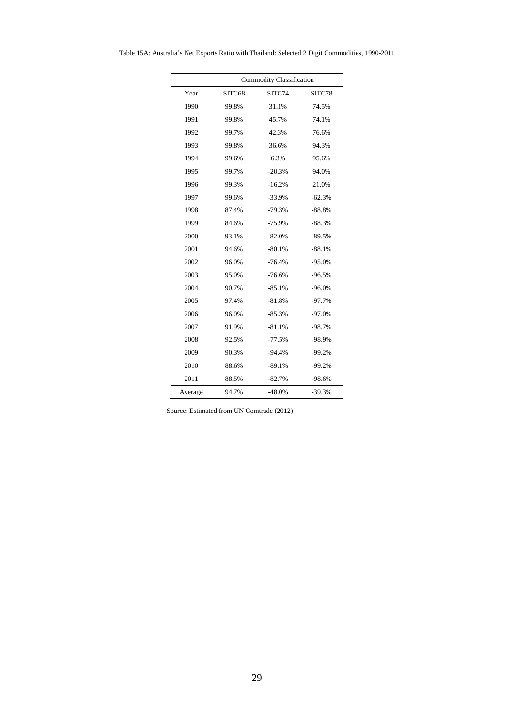| Table 15A: Australia's Net Exports Ratio with Thailand: Selected 2 Digit Commodities, 1990-2011 |  |  |
|-------------------------------------------------------------------------------------------------|--|--|
|-------------------------------------------------------------------------------------------------|--|--|

|         |        | Commodity Classification |          |
|---------|--------|--------------------------|----------|
| Year    | SITC68 | SITC74                   | SITC78   |
| 1990    | 99.8%  | 31.1%                    | 74.5%    |
| 1991    | 99.8%  | 45.7%                    | 74.1%    |
| 1992    | 99.7%  | 42.3%                    | 76.6%    |
| 1993    | 99.8%  | 36.6%                    | 94.3%    |
| 1994    | 99.6%  | 6.3%                     | 95.6%    |
| 1995    | 99.7%  | $-20.3%$                 | 94.0%    |
| 1996    | 99.3%  | $-16.2%$                 | 21.0%    |
| 1997    | 99.6%  | $-33.9%$                 | $-62.3%$ |
| 1998    | 87.4%  | $-79.3%$                 | $-88.8%$ |
| 1999    | 84.6%  | $-75.9%$                 | $-88.3%$ |
| 2000    | 93.1%  | $-82.0%$                 | $-89.5%$ |
| 2001    | 94.6%  | $-80.1%$                 | $-88.1%$ |
| 2002    | 96.0%  | $-76.4%$                 | $-95.0%$ |
| 2003    | 95.0%  | $-76.6%$                 | $-96.5%$ |
| 2004    | 90.7%  | $-85.1%$                 | $-96.0%$ |
| 2005    | 97.4%  | $-81.8%$                 | $-97.7%$ |
| 2006    | 96.0%  | $-85.3%$                 | $-97.0%$ |
| 2007    | 91.9%  | $-81.1%$                 | $-98.7%$ |
| 2008    | 92.5%  | $-77.5%$                 | -98.9%   |
| 2009    | 90.3%  | $-94.4%$                 | $-99.2%$ |
| 2010    | 88.6%  | $-89.1%$                 | $-99.2%$ |
| 2011    | 88.5%  | $-82.7%$                 | $-98.6%$ |
| Average | 94.7%  | $-48.0%$                 | $-39.3%$ |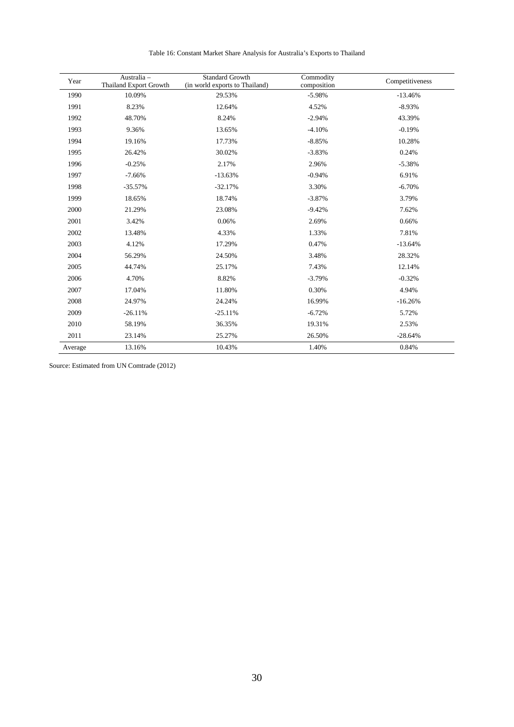| Year    | Australia -<br><b>Thailand Export Growth</b> | <b>Standard Growth</b><br>(in world exports to Thailand) | Commodity<br>composition | Competitiveness |
|---------|----------------------------------------------|----------------------------------------------------------|--------------------------|-----------------|
| 1990    | 10.09%                                       | 29.53%                                                   | $-5.98%$                 | $-13.46%$       |
| 1991    | 8.23%                                        | 12.64%                                                   | 4.52%                    | $-8.93%$        |
| 1992    | 48.70%                                       | 8.24%                                                    | $-2.94%$                 | 43.39%          |
| 1993    | 9.36%                                        | 13.65%                                                   | $-4.10%$                 | $-0.19%$        |
| 1994    | 19.16%                                       | 17.73%                                                   | $-8.85%$                 | 10.28%          |
| 1995    | 26.42%                                       | 30.02%                                                   | $-3.83%$                 | 0.24%           |
| 1996    | $-0.25%$                                     | 2.17%                                                    | 2.96%                    | $-5.38%$        |
| 1997    | $-7.66%$                                     | $-13.63%$                                                | $-0.94%$                 | 6.91%           |
| 1998    | $-35.57%$                                    | $-32.17%$                                                | 3.30%                    | $-6.70%$        |
| 1999    | 18.65%                                       | 18.74%                                                   | $-3.87%$                 | 3.79%           |
| 2000    | 21.29%                                       | 23.08%                                                   | $-9.42%$                 | 7.62%           |
| 2001    | 3.42%                                        | 0.06%                                                    | 2.69%                    | 0.66%           |
| 2002    | 13.48%                                       | 4.33%                                                    | 1.33%                    | 7.81%           |
| 2003    | 4.12%                                        | 17.29%                                                   | 0.47%                    | $-13.64%$       |
| 2004    | 56.29%                                       | 24.50%                                                   | 3.48%                    | 28.32%          |
| 2005    | 44.74%                                       | 25.17%                                                   | 7.43%                    | 12.14%          |
| 2006    | 4.70%                                        | 8.82%                                                    | $-3.79%$                 | $-0.32%$        |
| 2007    | 17.04%                                       | 11.80%                                                   | 0.30%                    | 4.94%           |
| 2008    | 24.97%                                       | 24.24%                                                   | 16.99%                   | $-16.26%$       |
| 2009    | $-26.11%$                                    | $-25.11%$                                                | $-6.72%$                 | 5.72%           |
| 2010    | 58.19%                                       | 36.35%                                                   | 19.31%                   | 2.53%           |
| 2011    | 23.14%                                       | 25.27%                                                   | 26.50%                   | $-28.64%$       |
| Average | 13.16%                                       | 10.43%                                                   | 1.40%                    | 0.84%           |

Table 16: Constant Market Share Analysis for Australia's Exports to Thailand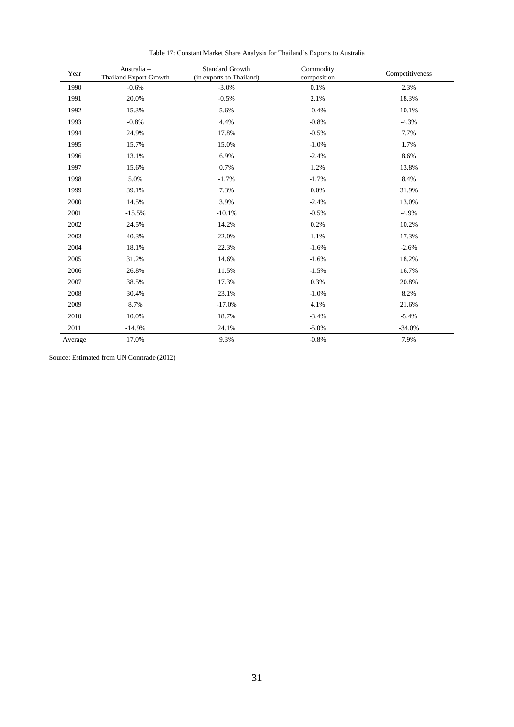| Year    | Australia -<br><b>Thailand Export Growth</b> | <b>Standard Growth</b><br>(in exports to Thailand) | Commodity<br>composition | Competitiveness |
|---------|----------------------------------------------|----------------------------------------------------|--------------------------|-----------------|
| 1990    | $-0.6%$                                      | $-3.0%$                                            | 0.1%                     | 2.3%            |
| 1991    | 20.0%                                        | $-0.5%$                                            | 2.1%                     | 18.3%           |
| 1992    | 15.3%                                        | 5.6%                                               | $-0.4%$                  | 10.1%           |
| 1993    | $-0.8%$                                      | 4.4%                                               | $-0.8%$                  | $-4.3%$         |
| 1994    | 24.9%                                        | 17.8%                                              | $-0.5%$                  | 7.7%            |
| 1995    | 15.7%                                        | 15.0%                                              | $-1.0%$                  | 1.7%            |
| 1996    | 13.1%                                        | 6.9%                                               | $-2.4%$                  | 8.6%            |
| 1997    | 15.6%                                        | 0.7%                                               | 1.2%                     | 13.8%           |
| 1998    | 5.0%                                         | $-1.7%$                                            | $-1.7%$                  | 8.4%            |
| 1999    | 39.1%                                        | 7.3%                                               | 0.0%                     | 31.9%           |
| 2000    | 14.5%                                        | 3.9%                                               | $-2.4%$                  | 13.0%           |
| 2001    | $-15.5%$                                     | $-10.1%$                                           | $-0.5%$                  | $-4.9%$         |
| 2002    | 24.5%                                        | 14.2%                                              | 0.2%                     | 10.2%           |
| 2003    | 40.3%                                        | 22.0%                                              | 1.1%                     | 17.3%           |
| 2004    | 18.1%                                        | 22.3%                                              | $-1.6%$                  | $-2.6%$         |
| 2005    | 31.2%                                        | 14.6%                                              | $-1.6%$                  | 18.2%           |
| 2006    | 26.8%                                        | 11.5%                                              | $-1.5%$                  | 16.7%           |
| 2007    | 38.5%                                        | 17.3%                                              | 0.3%                     | 20.8%           |
| 2008    | 30.4%                                        | 23.1%                                              | $-1.0%$                  | 8.2%            |
| 2009    | 8.7%                                         | $-17.0%$                                           | 4.1%                     | 21.6%           |
| 2010    | 10.0%                                        | 18.7%                                              | $-3.4%$                  | $-5.4%$         |
| 2011    | $-14.9%$                                     | 24.1%                                              | $-5.0%$                  | $-34.0%$        |
| Average | 17.0%                                        | 9.3%                                               | $-0.8%$                  | 7.9%            |

Table 17: Constant Market Share Analysis for Thailand's Exports to Australia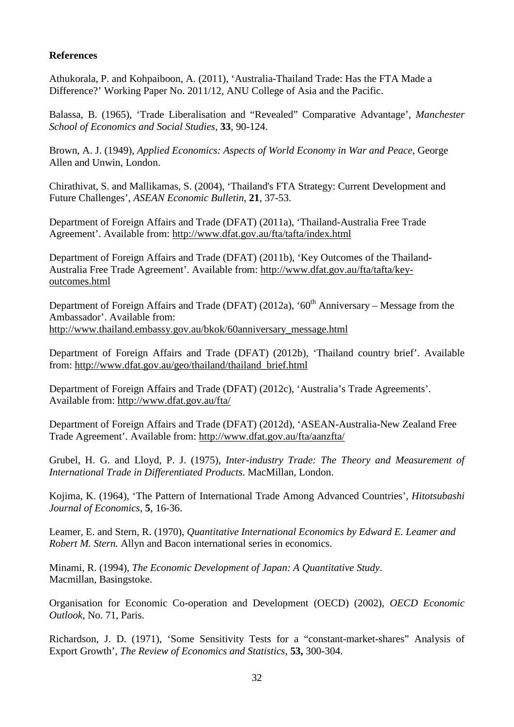#### **References**

Athukorala, P. and Kohpaiboon, A. (2011), 'Australia-Thailand Trade: Has the FTA Made a Difference?' Working Paper No. 2011/12, ANU College of Asia and the Pacific.

Balassa, B. (1965), 'Trade Liberalisation and "Revealed" Comparative Advantage', *Manchester School of Economics and Social Studies*, **33**, 90-124.

Brown, A. J. (1949), *Applied Economics: Aspects of World Economy in War and Peace*, George Allen and Unwin, London.

Chirathivat, S. and Mallikamas, S. (2004), 'Thailand's FTA Strategy: Current Development and Future Challenges', *ASEAN Economic Bulletin*, **21**, 37-53.

Department of Foreign Affairs and Trade (DFAT) (2011a), 'Thailand-Australia Free Trade Agreement'. Available from:<http://www.dfat.gov.au/fta/tafta/index.html>

Department of Foreign Affairs and Trade (DFAT) (2011b), 'Key Outcomes of the Thailand-Australia Free Trade Agreement'. Available from: [http://www.dfat.gov.au/fta/tafta/key](http://www.dfat.gov.au/fta/tafta/key-outcomes.html)[outcomes.html](http://www.dfat.gov.au/fta/tafta/key-outcomes.html)

Department of Foreign Affairs and Trade (DFAT) (2012a), ' $60<sup>th</sup>$  Anniversary – Message from the Ambassador'. Available from: [http://www.thailand.embassy.gov.au/bkok/60anniversary\\_message.html](http://www.thailand.embassy.gov.au/bkok/60anniversary_message.html)

Department of Foreign Affairs and Trade (DFAT) (2012b), 'Thailand country brief'. Available from: [http://www.dfat.gov.au/geo/thailand/thailand\\_brief.html](http://www.dfat.gov.au/geo/thailand/thailand_brief.html)

Department of Foreign Affairs and Trade (DFAT) (2012c), 'Australia's Trade Agreements'. Available from:<http://www.dfat.gov.au/fta/>

Department of Foreign Affairs and Trade (DFAT) (2012d), 'ASEAN-Australia-New Zealand Free Trade Agreement'. Available from:<http://www.dfat.gov.au/fta/aanzfta/>

Grubel, H. G. and Lloyd, P. J. (1975), *Inter-industry Trade: The Theory and Measurement of International Trade in Differentiated Products*. MacMillan, London.

Kojima, K. (1964), 'The Pattern of International Trade Among Advanced Countries', *Hitotsubashi Journal of Economics*, **5**, 16-36.

Leamer, E. and Stern, R. (1970), *Quantitative International Economics by Edward E. Leamer and Robert M. Stern.* Allyn and Bacon international series in economics.

Minami, R. (1994), *The Economic Development of Japan: A Quantitative Study*. Macmillan, Basingstoke.

Organisation for Economic Co-operation and Development (OECD) (2002), *OECD Economic Outlook*, No. 71, Paris.

Richardson, J. D. (1971), 'Some Sensitivity Tests for a "constant-market-shares" Analysis of Export Growth', *The Review of Economics and Statistics*, **53,** 300-304.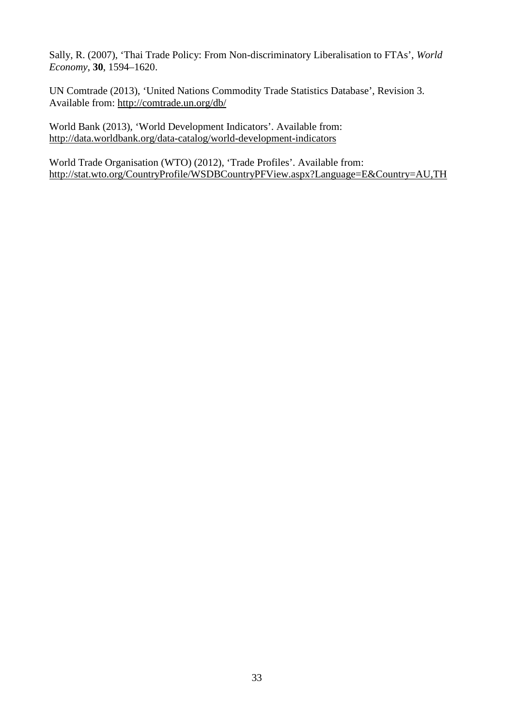Sally, R. (2007), 'Thai Trade Policy: From Non-discriminatory Liberalisation to FTAs', *World Economy*, **30**, 1594–1620.

UN Comtrade (2013), 'United Nations Commodity Trade Statistics Database', Revision 3. Available from: <http://comtrade.un.org/db/>

World Bank (2013), 'World Development Indicators'. Available from: <http://data.worldbank.org/data-catalog/world-development-indicators>

World Trade Organisation (WTO) (2012), 'Trade Profiles'. Available from: <http://stat.wto.org/CountryProfile/WSDBCountryPFView.aspx?Language=E&Country=AU,TH>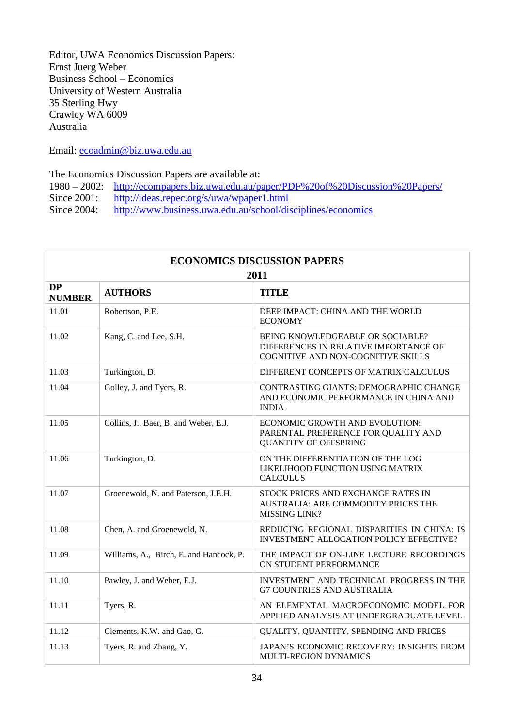Editor, UWA Economics Discussion Papers: Ernst Juerg Weber Business School – Economics University of Western Australia 35 Sterling Hwy Crawley WA 6009 Australia

Email: [ecoadmin@biz.uwa.edu.au](mailto:ecoadmin@biz.uwa.edu.au)

The Economics Discussion Papers are available at:<br>1980 – 2002: http://ecompapers.biz.uwa.edu.au/pa

- 1980 2002: <http://ecompapers.biz.uwa.edu.au/paper/PDF%20of%20Discussion%20Papers/><br>Since 2001: http://ideas.repec.org/s/uwa/wpaper1.html
- <http://ideas.repec.org/s/uwa/wpaper1.html>
- Since 2004: <http://www.business.uwa.edu.au/school/disciplines/economics>

| <b>ECONOMICS DISCUSSION PAPERS</b><br>2011 |                                         |                                                                                                                 |  |
|--------------------------------------------|-----------------------------------------|-----------------------------------------------------------------------------------------------------------------|--|
| <b>DP</b><br><b>NUMBER</b>                 | <b>AUTHORS</b>                          | <b>TITLE</b>                                                                                                    |  |
| 11.01                                      | Robertson, P.E.                         | DEEP IMPACT: CHINA AND THE WORLD<br><b>ECONOMY</b>                                                              |  |
| 11.02                                      | Kang, C. and Lee, S.H.                  | BEING KNOWLEDGEABLE OR SOCIABLE?<br>DIFFERENCES IN RELATIVE IMPORTANCE OF<br>COGNITIVE AND NON-COGNITIVE SKILLS |  |
| 11.03                                      | Turkington, D.                          | DIFFERENT CONCEPTS OF MATRIX CALCULUS                                                                           |  |
| 11.04                                      | Golley, J. and Tyers, R.                | CONTRASTING GIANTS: DEMOGRAPHIC CHANGE<br>AND ECONOMIC PERFORMANCE IN CHINA AND<br><b>INDIA</b>                 |  |
| 11.05                                      | Collins, J., Baer, B. and Weber, E.J.   | ECONOMIC GROWTH AND EVOLUTION:<br>PARENTAL PREFERENCE FOR QUALITY AND<br><b>QUANTITY OF OFFSPRING</b>           |  |
| 11.06                                      | Turkington, D.                          | ON THE DIFFERENTIATION OF THE LOG<br>LIKELIHOOD FUNCTION USING MATRIX<br><b>CALCULUS</b>                        |  |
| 11.07                                      | Groenewold, N. and Paterson, J.E.H.     | STOCK PRICES AND EXCHANGE RATES IN<br>AUSTRALIA: ARE COMMODITY PRICES THE<br>MISSING LINK?                      |  |
| 11.08                                      | Chen, A. and Groenewold, N.             | REDUCING REGIONAL DISPARITIES IN CHINA: IS<br><b>INVESTMENT ALLOCATION POLICY EFFECTIVE?</b>                    |  |
| 11.09                                      | Williams, A., Birch, E. and Hancock, P. | THE IMPACT OF ON-LINE LECTURE RECORDINGS<br>ON STUDENT PERFORMANCE                                              |  |
| 11.10                                      | Pawley, J. and Weber, E.J.              | INVESTMENT AND TECHNICAL PROGRESS IN THE<br><b>G7 COUNTRIES AND AUSTRALIA</b>                                   |  |
| 11.11                                      | Tyers, R.                               | AN ELEMENTAL MACROECONOMIC MODEL FOR<br>APPLIED ANALYSIS AT UNDERGRADUATE LEVEL                                 |  |
| 11.12                                      | Clements, K.W. and Gao, G.              | QUALITY, QUANTITY, SPENDING AND PRICES                                                                          |  |
| 11.13                                      | Tyers, R. and Zhang, Y.                 | JAPAN'S ECONOMIC RECOVERY: INSIGHTS FROM<br>MULTI-REGION DYNAMICS                                               |  |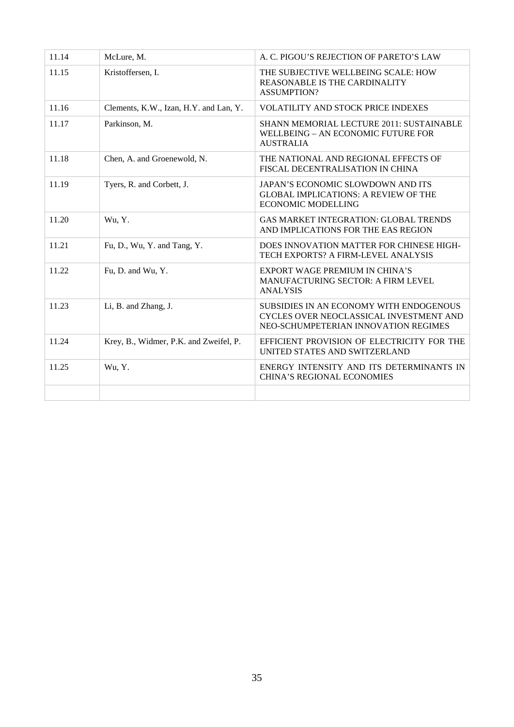| 11.14 | McLure, M.                             | A. C. PIGOU'S REJECTION OF PARETO'S LAW                                                                                    |
|-------|----------------------------------------|----------------------------------------------------------------------------------------------------------------------------|
| 11.15 | Kristoffersen, I.                      | THE SUBJECTIVE WELLBEING SCALE: HOW<br><b>REASONABLE IS THE CARDINALITY</b><br><b>ASSUMPTION?</b>                          |
| 11.16 | Clements, K.W., Izan, H.Y. and Lan, Y. | <b>VOLATILITY AND STOCK PRICE INDEXES</b>                                                                                  |
| 11.17 | Parkinson, M.                          | SHANN MEMORIAL LECTURE 2011: SUSTAINABLE<br>WELLBEING - AN ECONOMIC FUTURE FOR<br><b>AUSTRALIA</b>                         |
| 11.18 | Chen, A. and Groenewold, N.            | THE NATIONAL AND REGIONAL EFFECTS OF<br>FISCAL DECENTRALISATION IN CHINA                                                   |
| 11.19 | Tyers, R. and Corbett, J.              | JAPAN'S ECONOMIC SLOWDOWN AND ITS<br><b>GLOBAL IMPLICATIONS: A REVIEW OF THE</b><br><b>ECONOMIC MODELLING</b>              |
| 11.20 | Wu, Y.                                 | <b>GAS MARKET INTEGRATION: GLOBAL TRENDS</b><br>AND IMPLICATIONS FOR THE EAS REGION                                        |
| 11.21 | Fu, D., Wu, Y. and Tang, Y.            | DOES INNOVATION MATTER FOR CHINESE HIGH-<br>TECH EXPORTS? A FIRM-LEVEL ANALYSIS                                            |
| 11.22 | Fu, D. and Wu, Y.                      | EXPORT WAGE PREMIUM IN CHINA'S<br><b>MANUFACTURING SECTOR: A FIRM LEVEL</b><br><b>ANALYSIS</b>                             |
| 11.23 | Li, B. and Zhang, J.                   | SUBSIDIES IN AN ECONOMY WITH ENDOGENOUS<br>CYCLES OVER NEOCLASSICAL INVESTMENT AND<br>NEO-SCHUMPETERIAN INNOVATION REGIMES |
| 11.24 | Krey, B., Widmer, P.K. and Zweifel, P. | EFFICIENT PROVISION OF ELECTRICITY FOR THE<br>UNITED STATES AND SWITZERLAND                                                |
| 11.25 | Wu, Y.                                 | ENERGY INTENSITY AND ITS DETERMINANTS IN<br><b>CHINA'S REGIONAL ECONOMIES</b>                                              |
|       |                                        |                                                                                                                            |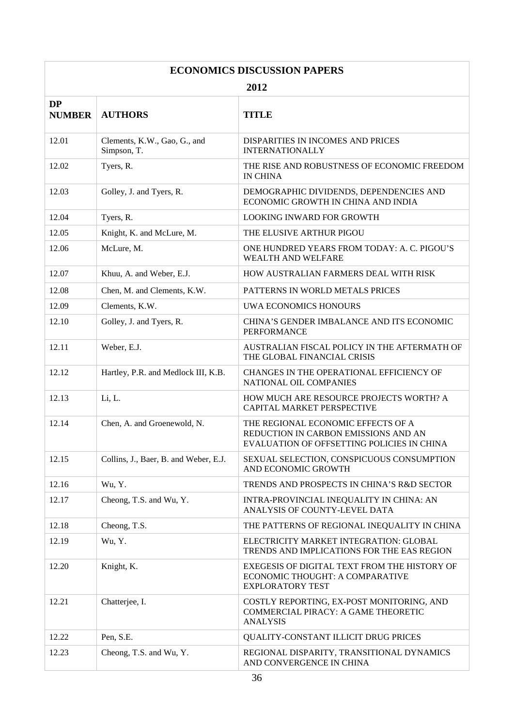| <b>ECONOMICS DISCUSSION PAPERS</b> |                                             |                                                                                                                          |  |
|------------------------------------|---------------------------------------------|--------------------------------------------------------------------------------------------------------------------------|--|
| 2012                               |                                             |                                                                                                                          |  |
| <b>DP</b><br><b>NUMBER</b>         | <b>AUTHORS</b>                              | <b>TITLE</b>                                                                                                             |  |
| 12.01                              | Clements, K.W., Gao, G., and<br>Simpson, T. | DISPARITIES IN INCOMES AND PRICES<br><b>INTERNATIONALLY</b>                                                              |  |
| 12.02                              | Tyers, R.                                   | THE RISE AND ROBUSTNESS OF ECONOMIC FREEDOM<br><b>IN CHINA</b>                                                           |  |
| 12.03                              | Golley, J. and Tyers, R.                    | DEMOGRAPHIC DIVIDENDS, DEPENDENCIES AND<br>ECONOMIC GROWTH IN CHINA AND INDIA                                            |  |
| 12.04                              | Tyers, R.                                   | <b>LOOKING INWARD FOR GROWTH</b>                                                                                         |  |
| 12.05                              | Knight, K. and McLure, M.                   | THE ELUSIVE ARTHUR PIGOU                                                                                                 |  |
| 12.06                              | McLure, M.                                  | ONE HUNDRED YEARS FROM TODAY: A. C. PIGOU'S<br><b>WEALTH AND WELFARE</b>                                                 |  |
| 12.07                              | Khuu, A. and Weber, E.J.                    | HOW AUSTRALIAN FARMERS DEAL WITH RISK                                                                                    |  |
| 12.08                              | Chen, M. and Clements, K.W.                 | PATTERNS IN WORLD METALS PRICES                                                                                          |  |
| 12.09                              | Clements, K.W.                              | UWA ECONOMICS HONOURS                                                                                                    |  |
| 12.10                              | Golley, J. and Tyers, R.                    | CHINA'S GENDER IMBALANCE AND ITS ECONOMIC<br><b>PERFORMANCE</b>                                                          |  |
| 12.11                              | Weber, E.J.                                 | AUSTRALIAN FISCAL POLICY IN THE AFTERMATH OF<br>THE GLOBAL FINANCIAL CRISIS                                              |  |
| 12.12                              | Hartley, P.R. and Medlock III, K.B.         | CHANGES IN THE OPERATIONAL EFFICIENCY OF<br>NATIONAL OIL COMPANIES                                                       |  |
| 12.13                              | Li, L.                                      | HOW MUCH ARE RESOURCE PROJECTS WORTH? A<br>CAPITAL MARKET PERSPECTIVE                                                    |  |
| 12.14                              | Chen, A. and Groenewold, N.                 | THE REGIONAL ECONOMIC EFFECTS OF A<br>REDUCTION IN CARBON EMISSIONS AND AN<br>EVALUATION OF OFFSETTING POLICIES IN CHINA |  |
| 12.15                              | Collins, J., Baer, B. and Weber, E.J.       | SEXUAL SELECTION, CONSPICUOUS CONSUMPTION<br>AND ECONOMIC GROWTH                                                         |  |
| 12.16                              | Wu, Y.                                      | TRENDS AND PROSPECTS IN CHINA'S R&D SECTOR                                                                               |  |
| 12.17                              | Cheong, T.S. and Wu, Y.                     | INTRA-PROVINCIAL INEQUALITY IN CHINA: AN<br>ANALYSIS OF COUNTY-LEVEL DATA                                                |  |
| 12.18                              | Cheong, T.S.                                | THE PATTERNS OF REGIONAL INEQUALITY IN CHINA                                                                             |  |
| 12.19                              | Wu, Y.                                      | ELECTRICITY MARKET INTEGRATION: GLOBAL<br>TRENDS AND IMPLICATIONS FOR THE EAS REGION                                     |  |
| 12.20                              | Knight, K.                                  | EXEGESIS OF DIGITAL TEXT FROM THE HISTORY OF<br>ECONOMIC THOUGHT: A COMPARATIVE<br><b>EXPLORATORY TEST</b>               |  |
| 12.21                              | Chatterjee, I.                              | COSTLY REPORTING, EX-POST MONITORING, AND<br>COMMERCIAL PIRACY: A GAME THEORETIC<br><b>ANALYSIS</b>                      |  |
| 12.22                              | Pen, S.E.                                   | QUALITY-CONSTANT ILLICIT DRUG PRICES                                                                                     |  |
| 12.23                              | Cheong, T.S. and Wu, Y.                     | REGIONAL DISPARITY, TRANSITIONAL DYNAMICS<br>AND CONVERGENCE IN CHINA                                                    |  |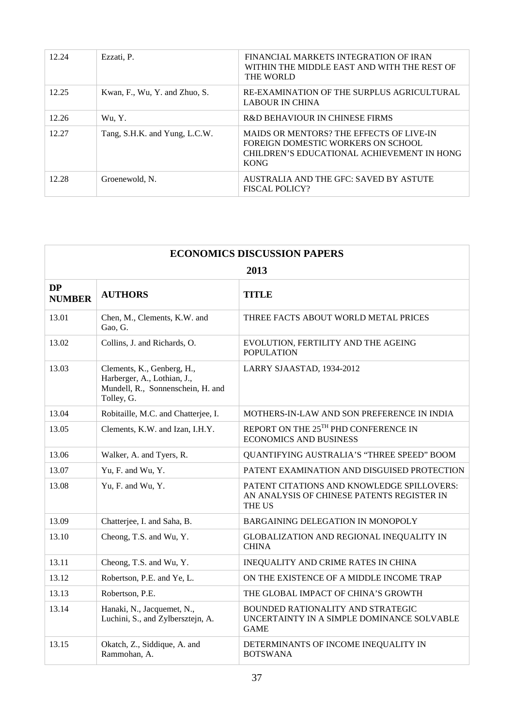| 12.24 | Ezzati, P.                    | FINANCIAL MARKETS INTEGRATION OF IRAN<br>WITHIN THE MIDDLE EAST AND WITH THE REST OF<br>THE WORLD                                           |
|-------|-------------------------------|---------------------------------------------------------------------------------------------------------------------------------------------|
| 12.25 | Kwan, F., Wu, Y. and Zhuo, S. | RE-EXAMINATION OF THE SURPLUS AGRICULTURAL<br><b>LABOUR IN CHINA</b>                                                                        |
| 12.26 | Wu, Y.                        | R&D BEHAVIOUR IN CHINESE FIRMS                                                                                                              |
| 12.27 | Tang, S.H.K. and Yung, L.C.W. | MAIDS OR MENTORS? THE EFFECTS OF LIVE-IN<br>FOREIGN DOMESTIC WORKERS ON SCHOOL<br>CHILDREN'S EDUCATIONAL ACHIEVEMENT IN HONG<br><b>KONG</b> |
| 12.28 | Groenewold, N.                | AUSTRALIA AND THE GFC: SAVED BY ASTUTE<br><b>FISCAL POLICY?</b>                                                                             |

| <b>ECONOMICS DISCUSSION PAPERS</b> |                                                                                                              |                                                                                                           |  |
|------------------------------------|--------------------------------------------------------------------------------------------------------------|-----------------------------------------------------------------------------------------------------------|--|
| 2013                               |                                                                                                              |                                                                                                           |  |
| <b>DP</b><br><b>NUMBER</b>         | <b>AUTHORS</b>                                                                                               | <b>TITLE</b>                                                                                              |  |
| 13.01                              | Chen, M., Clements, K.W. and<br>Gao, G.                                                                      | THREE FACTS ABOUT WORLD METAL PRICES                                                                      |  |
| 13.02                              | Collins, J. and Richards, O.                                                                                 | EVOLUTION, FERTILITY AND THE AGEING<br><b>POPULATION</b>                                                  |  |
| 13.03                              | Clements, K., Genberg, H.,<br>Harberger, A., Lothian, J.,<br>Mundell, R., Sonnenschein, H. and<br>Tolley, G. | LARRY SJAASTAD, 1934-2012                                                                                 |  |
| 13.04                              | Robitaille, M.C. and Chatterjee, I.                                                                          | MOTHERS-IN-LAW AND SON PREFERENCE IN INDIA                                                                |  |
| 13.05                              | Clements, K.W. and Izan, I.H.Y.                                                                              | REPORT ON THE 25TH PHD CONFERENCE IN<br><b>ECONOMICS AND BUSINESS</b>                                     |  |
| 13.06                              | Walker, A. and Tyers, R.                                                                                     | QUANTIFYING AUSTRALIA'S "THREE SPEED" BOOM                                                                |  |
| 13.07                              | Yu, F. and Wu, Y.                                                                                            | PATENT EXAMINATION AND DISGUISED PROTECTION                                                               |  |
| 13.08                              | Yu, F. and Wu, Y.                                                                                            | PATENT CITATIONS AND KNOWLEDGE SPILLOVERS:<br>AN ANALYSIS OF CHINESE PATENTS REGISTER IN<br><b>THE US</b> |  |
| 13.09                              | Chatterjee, I. and Saha, B.                                                                                  | <b>BARGAINING DELEGATION IN MONOPOLY</b>                                                                  |  |
| 13.10                              | Cheong, T.S. and Wu, Y.                                                                                      | GLOBALIZATION AND REGIONAL INEQUALITY IN<br><b>CHINA</b>                                                  |  |
| 13.11                              | Cheong, T.S. and Wu, Y.                                                                                      | INEQUALITY AND CRIME RATES IN CHINA                                                                       |  |
| 13.12                              | Robertson, P.E. and Ye, L.                                                                                   | ON THE EXISTENCE OF A MIDDLE INCOME TRAP                                                                  |  |
| 13.13                              | Robertson, P.E.                                                                                              | THE GLOBAL IMPACT OF CHINA'S GROWTH                                                                       |  |
| 13.14                              | Hanaki, N., Jacquemet, N.,<br>Luchini, S., and Zylbersztejn, A.                                              | <b>BOUNDED RATIONALITY AND STRATEGIC</b><br>UNCERTAINTY IN A SIMPLE DOMINANCE SOLVABLE<br><b>GAME</b>     |  |
| 13.15                              | Okatch, Z., Siddique, A. and<br>Rammohan, A.                                                                 | DETERMINANTS OF INCOME INEQUALITY IN<br><b>BOTSWANA</b>                                                   |  |